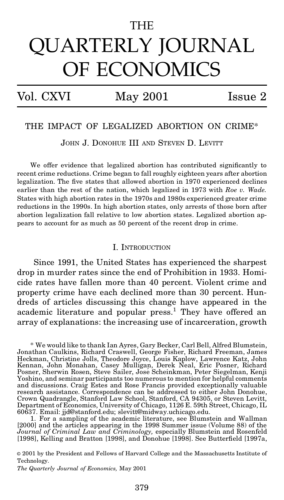# THE QUARTERLY JOURNAL OF ECONOMICS

Vol. CXVI May 2001 Issue 2

# THE IMPACT OF LEGALIZED ABORTION ON CRIME\*

JOHN J. DONOHUE III AND STEVEN D. LEVITT

We offer evidence that legalized abortion has contributed signicantly to recent crime reductions. Crime began to fall roughly eighteen years after abortion legalization. The five states that allowed abortion in 1970 experienced declines earlier than the rest of the nation, which legalized in 1973 with *Roe v. Wade.* States with high abortion rates in the 1970s and 1980s experienced greater crime reductions in the 1990s. In high abortion states, only arrests of those born after abortion legalization fall relative to low abortion states. Legalized abortion appears to account for as much as 50 percent of the recent drop in crime.

#### I. INTRODUCTION

Since 1991, the United States has experienced the sharpest drop in murder rates since the end of Prohibition in 1933. Homicide rates have fallen more than 40 percent. Violent crime and property crime have each declined more than 30 percent. Hundreds of articles discussing this change have appeared in the academic literature and popular  $pres<sup>1</sup>$ . They have offered an array of explanations: the increasing use of incarceration, growth

1. For a sampling of the academic literature, see Blumstein and Wallman [2000] and the articles appearing in the 1998 Summer issue (Volume 88) of the *Journal of Criminal Law and Criminology,* especially Blumstein and Rosenfeld [1998], Kelling and Bratton [1998], and Donohue [1998]. See Butterfield [1997a,

© 2001 by the President and Fellows of Harvard College and the Massachusetts Institute of Technology.

*The Quarterly Journal of Economics,* May 2001

<sup>\*</sup> We would like to thank Ian Ayres, Gary Becker, Carl Bell, Alfred Blumstein, Jonathan Caulkins, Richard Craswell, George Fisher, Richard Freeman, James Heckman, Christine Jolls, Theodore Joyce, Louis Kaplow, Lawrence Katz, John Kennan, John Monahan, Casey Mulligan, Derek Neal, Eric Posner, Richard Posner, Sherwin Rosen, Steve Sailer, Jose´ Scheinkman, Peter Siegelman, Kenji Yoshino, and seminar participants too numerous to mention for helpful comments and discussions. Craig Estes and Rose Francis provided exceptionally valuable research assistance. Correspondence can be addressed to either John Donohue, Crown Quadrangle, Stanford Law School, Stanford, CA 94305, or Steven Levitt, Department of Economics, University of Chicago, 1126 E. 59th Street, Chicago, IL 60637. Email: jjd@stanford.edu; slevitt@midway.uchicago.edu.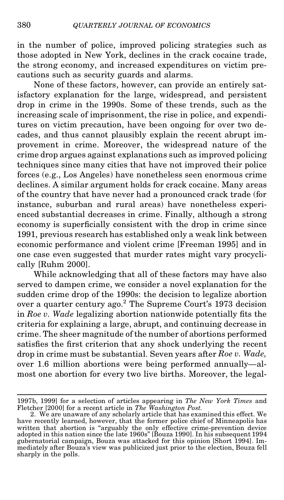in the number of police, improved policing strategies such as those adopted in New York, declines in the crack cocaine trade, the strong economy, and increased expenditures on victim precautions such as security guards and alarms.

None of these factors, however, can provide an entirely satisfactory explanation for the large, widespread, and persistent drop in crime in the 1990s. Some of these trends, such as the increasing scale of imprisonment, the rise in police, and expenditures on victim precaution, have been ongoing for over two decades, and thus cannot plausibly explain the recent abrupt improvement in crime. Moreover, the widespread nature of the crime drop argues against explanations such as improved policing techniques since many cities that have not improved their police forces (e.g., Los Angeles) have nonetheless seen enormous crime declines. A similar argument holds for crack cocaine. Many areas of the country that have never had a pronounced crack trade (for instance, suburban and rural areas) have nonetheless experienced substantial decreases in crime. Finally, although a strong economy is superficially consistent with the drop in crime since 1991, previous research has established only a weak link between economic performance and violent crime [Freeman 1995] and in one case even suggested that murder rates might vary procyclically [Ruhm 2000].

While acknowledging that all of these factors may have also served to dampen crime, we consider a novel explanation for the sudden crime drop of the 1990s: the decision to legalize abortion over a quarter century ago.<sup>2</sup> The Supreme Court's 1973 decision in *Roe v. Wade* legalizing abortion nationwide potentially fits the criteria for explaining a large, abrupt, and continuing decrease in crime. The sheer magnitude of the number of abortions performed satisfies the first criterion that any shock underlying the recent drop in crime must be substantial. Seven years after *Roe v. Wade,* over 1.6 million abortions were being performed annually—almost one abortion for every two live births. Moreover, the legal-

<sup>1997</sup>b, 1999] for a selection of articles appearing in *The New York Times* and Fletcher [2000] for a recent article in *The Washington Post.*

<sup>2.</sup> We are unaware of any scholarly article that has examined this effect. We have recently learned, however, that the former police chief of Minneapolis has written that abortion is "arguably the only effective crime-prevention device adopted in this nation since the late 1960s" [Bouza 1990]. In his subsequent 1994 gubernatorial campaign, Bouza was attacked for this opinion [Short 1994]. Immediately after Bouza's view was publicized just prior to the election, Bouza fell sharply in the polls.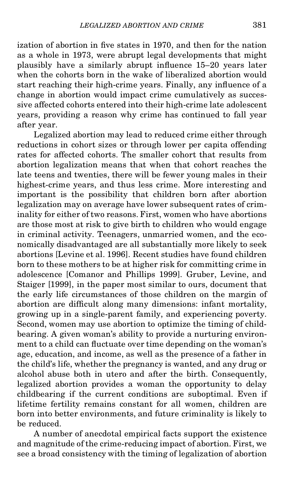ization of abortion in five states in 1970, and then for the nation as a whole in 1973, were abrupt legal developments that might plausibly have a similarly abrupt influence 15–20 years later when the cohorts born in the wake of liberalized abortion would start reaching their high-crime years. Finally, any influence of a change in abortion would impact crime cumulatively as successive affected cohorts entered into their high-crime late adolescent years, providing a reason why crime has continued to fall year after year.

Legalized abortion may lead to reduced crime either through reductions in cohort sizes or through lower per capita offending rates for affected cohorts. The smaller cohort that results from abortion legalization means that when that cohort reaches the late teens and twenties, there will be fewer young males in their highest-crime years, and thus less crime. More interesting and important is the possibility that children born after abortion legalization may on average have lower subsequent rates of criminality for either of two reasons. First, women who have abortions are those most at risk to give birth to children who would engage in criminal activity. Teenagers, unmarried women, and the economically disadvantaged are all substantially more likely to seek abortions [Levine et al. 1996]. Recent studies have found children born to these mothers to be at higher risk for committing crime in adolescence [Comanor and Phillips 1999]. Gruber, Levine, and Staiger [1999], in the paper most similar to ours, document that the early life circumstances of those children on the margin of abortion are difficult along many dimensions: infant mortality, growing up in a single-parent family, and experiencing poverty. Second, women may use abortion to optimize the timing of childbearing. A given woman's ability to provide a nurturing environment to a child can fluctuate over time depending on the woman's age, education, and income, as well as the presence of a father in the child's life, whether the pregnancy is wanted, and any drug or alcohol abuse both in utero and after the birth. Consequently, legalized abortion provides a woman the opportunity to delay childbearing if the current conditions are suboptimal. Even if lifetime fertility remains constant for all women, children are born into better environments, and future criminality is likely to be reduced.

A number of anecdotal empirical facts support the existence and magnitude of the crime-reducing impact of abortion. First, we see a broad consistency with the timing of legalization of abortion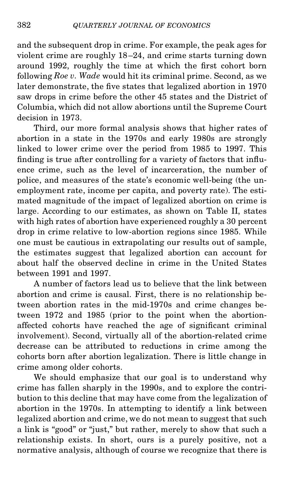and the subsequent drop in crime. For example, the peak ages for violent crime are roughly 18–24, and crime starts turning down around 1992, roughly the time at which the first cohort born following *Roe v. Wade* would hit its criminal prime. Second, as we later demonstrate, the five states that legalized abortion in 1970 saw drops in crime before the other 45 states and the District of Columbia, which did not allow abortions until the Supreme Court decision in 1973.

Third, our more formal analysis shows that higher rates of abortion in a state in the 1970s and early 1980s are strongly linked to lower crime over the period from 1985 to 1997. This finding is true after controlling for a variety of factors that influence crime, such as the level of incarceration, the number of police, and measures of the state's economic well-being (the unemployment rate, income per capita, and poverty rate). The estimated magnitude of the impact of legalized abortion on crime is large. According to our estimates, as shown on Table II, states with high rates of abortion have experienced roughly a 30 percent drop in crime relative to low-abortion regions since 1985. While one must be cautious in extrapolating our results out of sample, the estimates suggest that legalized abortion can account for about half the observed decline in crime in the United States between 1991 and 1997.

A number of factors lead us to believe that the link between abortion and crime is causal. First, there is no relationship between abortion rates in the mid-1970s and crime changes between 1972 and 1985 (prior to the point when the abortionaffected cohorts have reached the age of signicant criminal involvement). Second, virtually all of the abortion-related crime decrease can be attributed to reductions in crime among the cohorts born after abortion legalization. There is little change in crime among older cohorts.

We should emphasize that our goal is to understand why crime has fallen sharply in the 1990s, and to explore the contribution to this decline that may have come from the legalization of abortion in the 1970s. In attempting to identify a link between legalized abortion and crime, we do not mean to suggest that such a link is "good" or "just," but rather, merely to show that such a relationship exists. In short, ours is a purely positive, not a normative analysis, although of course we recognize that there is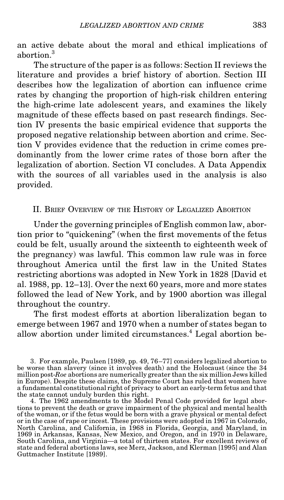an active debate about the moral and ethical implications of abortion.<sup>3</sup>

The structure of the paper is as follows: Section II reviews the literature and provides a brief history of abortion. Section III describes how the legalization of abortion can influence crime rates by changing the proportion of high-risk children entering the high-crime late adolescent years, and examines the likely magnitude of these effects based on past research findings. Section IV presents the basic empirical evidence that supports the proposed negative relationship between abortion and crime. Section V provides evidence that the reduction in crime comes predominantly from the lower crime rates of those born after the legalization of abortion. Section VI concludes. A Data Appendix with the sources of all variables used in the analysis is also provided.

#### II. BRIEF OVERVIEW OF THE HISTORY OF LEGALIZED ABORTION

Under the governing principles of English common law, abortion prior to "quickening" (when the first movements of the fetus could be felt, usually around the sixteenth to eighteenth week of the pregnancy) was lawful. This common law rule was in force throughout America until the first law in the United States restricting abortions was adopted in New York in 1828 [David et al. 1988, pp. 12–13]. Over the next 60 years, more and more states followed the lead of New York, and by 1900 abortion was illegal throughout the country.

The first modest efforts at abortion liberalization began to emerge between 1967 and 1970 when a number of states began to allow abortion under limited circumstances.<sup>4</sup> Legal abortion be-

3. For example, Paulsen [1989, pp. 49, 76–77] considers legalized abortion to be worse than slavery (since it involves death) and the Holocaust (since the 34 million post-*Roe* abortions are numerically greater than the six million Jews killed in Europe). Despite these claims, the Supreme Court has ruled that women have a fundamental constitutional right of privacy to abort an early-term fetus and that the state cannot unduly burden this right.

4. The 1962 amendments to the Model Penal Code provided for legal abortions to prevent the death or grave impairment of the physical and mental health of the woman, or if the fetus would be born with a grave physical or mental defect or in the case of rape or incest. These provisions were adopted in 1967 in Colorado, North Carolina, and California, in 1968 in Florida, Georgia, and Maryland, in 1969 in Arkansas, Kansas, New Mexico, and Oregon, and in 1970 in Delaware, South Carolina, and Virginia—a total of thirteen states. For excellent reviews of state and federal abortions laws, see Merz, Jackson, and Klerman [1995] and Alan Guttmacher Institute [1989].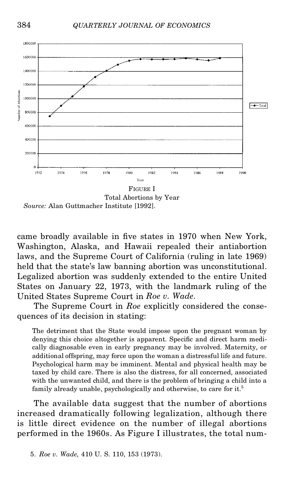

*Source:* Alan Guttmacher Institute [1992].

came broadly available in five states in 1970 when New York. Washington, Alaska, and Hawaii repealed their antiabortion laws, and the Supreme Court of California (ruling in late 1969) held that the state's law banning abortion was unconstitutional. Legalized abortion was suddenly extended to the entire United States on January 22, 1973, with the landmark ruling of the United States Supreme Court in *Roe v. Wade.*

The Supreme Court in *Roe* explicitly considered the consequences of its decision in stating:

The detriment that the State would impose upon the pregnant woman by denying this choice altogether is apparent. Specific and direct harm medically diagnosable even in early pregnancy may be involved. Maternity, or additional offspring, may force upon the woman a distressful life and future. Psychological harm may be imminent. Mental and physical health may be taxed by child care. There is also the distress, for all concerned, associated with the unwanted child, and there is the problem of bringing a child into a family already unable, psychologically and otherwise, to care for it.<sup>5</sup>

The available data suggest that the number of abortions increased dramatically following legalization, although there is little direct evidence on the number of illegal abortions performed in the 1960s. As Figure I illustrates, the total num-

<sup>5.</sup> *Roe v. Wade,* 410 U. S. 110, 153 (1973).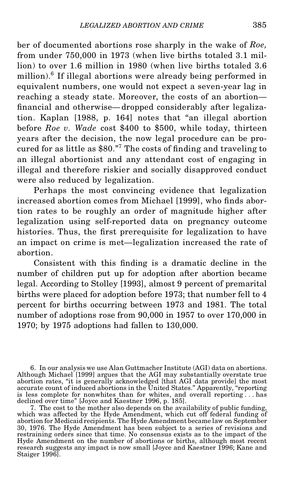ber of documented abortions rose sharply in the wake of *Roe,* from under 750,000 in 1973 (when live births totaled 3.1 million) to over 1.6 million in 1980 (when live births totaled 3.6 million).<sup>6</sup> If illegal abortions were already being performed in equivalent numbers, one would not expect a seven-year lag in reaching a steady state. Moreover, the costs of an abortion nancial and otherwise—dropped considerably after legalization. Kaplan [1988, p. 164] notes that "an illegal abortion before *Roe v. Wade* cost \$400 to \$500, while today, thirteen years after the decision, the now legal procedure can be procured for as little as  $$80.^{7}$  The costs of finding and traveling to an illegal abortionist and any attendant cost of engaging in illegal and therefore riskier and socially disapproved conduct were also reduced by legalization.

Perhaps the most convincing evidence that legalization increased abortion comes from Michael [1999], who finds abortion rates to be roughly an order of magnitude higher after legalization using self-reported data on pregnancy outcome histories. Thus, the first prerequisite for legalization to have an impact on crime is met—legalization increased the rate of abortion.

Consistent with this finding is a dramatic decline in the number of children put up for adoption after abortion became legal. According to Stolley [1993], almost 9 percent of premarital births were placed for adoption before 1973; that number fell to 4 percent for births occurring between 1973 and 1981. The total number of adoptions rose from 90,000 in 1957 to over 170,000 in 1970; by 1975 adoptions had fallen to 130,000.

6. In our analysis we use Alan Guttmacher Institute (AGI) data on abortions. Although Michael [1999] argues that the AGI may substantially overstate true abortion rates, "it is generally acknowledged [that AGI data provide] the most accurate count of induced abortions in the United States." Apparently, "reporting is less complete for nonwhites than for whites, and overall reporting . . . has declined over time" [Joyce and Kaestner 1996, p. 185].

7. The cost to the mother also depends on the availability of public funding, which was affected by the Hyde Amendment, which cut off federal funding of abortion for Medicaid recipients. The Hyde Amendment became law on September 30, 1976. The Hyde Amendment has been subject to a series of revisions and restraining orders since that time. No consensus exists as to the impact of the Hyde Amendment on the number of abortions or births, although most recent research suggests any impact is now small [Joyce and Kaestner 1996; Kane and Staiger 1996].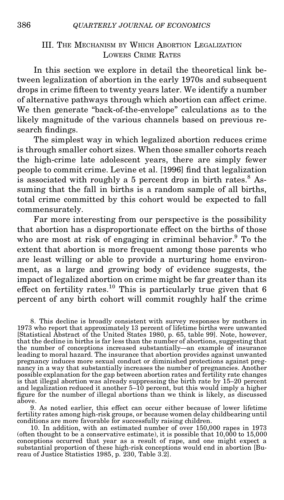## III. THE MECHANISM BY WHICH ABORTION LEGALIZATION LOWERS CRIME RATES

In this section we explore in detail the theoretical link between legalization of abortion in the early 1970s and subsequent drops in crime fifteen to twenty years later. We identify a number of alternative pathways through which abortion can affect crime. We then generate "back-of-the-envelope" calculations as to the likely magnitude of the various channels based on previous research findings.

The simplest way in which legalized abortion reduces crime is through smaller cohort sizes. When those smaller cohorts reach the high-crime late adolescent years, there are simply fewer people to commit crime. Levine et al. [1996] find that legalization is associated with roughly a 5 percent drop in birth rates. $8$  Assuming that the fall in births is a random sample of all births, total crime committed by this cohort would be expected to fall commensurately.

Far more interesting from our perspective is the possibility that abortion has a disproportionate effect on the births of those who are most at risk of engaging in criminal behavior.<sup>9</sup> To the extent that abortion is more frequent among those parents who are least willing or able to provide a nurturing home environment, as a large and growing body of evidence suggests, the impact of legalized abortion on crime might be far greater than its effect on fertility rates.<sup>10</sup> This is particularly true given that  $6$ percent of any birth cohort will commit roughly half the crime

8. This decline is broadly consistent with survey responses by mothers in 1973 who report that approximately 13 percent of lifetime births were unwanted [Statistical Abstract of the United States 1980, p. 65, table 99]. Note, however, that the decline in births is far less than the number of abortions, suggesting that the number of conceptions increased substantially—an example of insurance leading to moral hazard. The insurance that abortion provides against unwanted pregnancy induces more sexual conduct or diminished protections against pregnancy in a way that substantially increases the number of pregnancies. Another possible explanation for the gap between abortion rates and fertility rate changes is that illegal abortion was already suppressing the birth rate by 15–20 percent and legalization reduced it another 5–10 percent, but this would imply a higher gure for the number of illegal abortions than we think is likely, as discussed above.

9. As noted earlier, this effect can occur either because of lower lifetime fertility rates among high-risk groups, or because women delay childbearing until conditions are more favorable for successfully raising children.

10. In addition, with an estimated number of over 150,000 rapes in 1973 (often thought to be a conservative estimate), it is possible that 10,000 to 15,000 conceptions occurred that year as a result of rape, and one might expect a substantial proportion of these high-risk conceptions would end in abortion [Bu- reau of Justice Statistics 1985, p. 230, Table 3.2].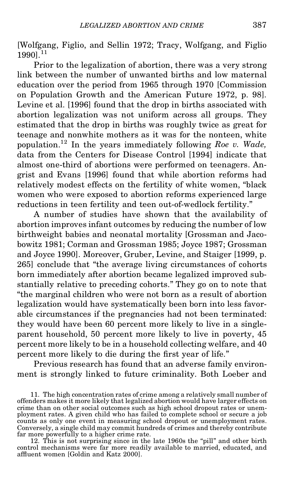[Wolfgang, Figlio, and Sellin 1972; Tracy, Wolfgang, and Figlio  $1990$ <sup>[11</sup>]

Prior to the legalization of abortion, there was a very strong link between the number of unwanted births and low maternal education over the period from 1965 through 1970 [Commission on Population Growth and the American Future 1972, p. 98]. Levine et al. [1996] found that the drop in births associated with abortion legalization was not uniform across all groups. They estimated that the drop in births was roughly twice as great for teenage and nonwhite mothers as it was for the nonteen, white population.<sup>12</sup> In the years immediately following *Roe v. Wade,* data from the Centers for Disease Control [1994] indicate that almost one-third of abortions were performed on teenagers. Angrist and Evans [1996] found that while abortion reforms had relatively modest effects on the fertility of white women, "black women who were exposed to abortion reforms experienced large reductions in teen fertility and teen out-of-wedlock fertility."

A number of studies have shown that the availability of abortion improves infant outcomes by reducing the number of low birthweight babies and neonatal mortality [Grossman and Jacobowitz 1981; Corman and Grossman 1985; Joyce 1987; Grossman and Joyce 1990]. Moreover, Gruber, Levine, and Staiger [1999, p. 265] conclude that "the average living circumstances of cohorts born immediately after abortion became legalized improved substantially relative to preceding cohorts." They go on to note that "the marginal children who were not born as a result of abortion legalization would have systematically been born into less favorable circumstances if the pregnancies had not been terminated: they would have been 60 percent more likely to live in a singleparent household, 50 percent more likely to live in poverty, 45 percent more likely to be in a household collecting welfare, and 40 percent more likely to die during the first year of life."

Previous research has found that an adverse family environment is strongly linked to future criminality. Both Loeber and

11. The high concentration rates of crime among a relatively small number of offenders makes it more likely that legalized abortion would have larger effects on crime than on other social outcomes such as high school dropout rates or unem- ployment rates. <sup>A</sup> given child who has failed to complete school or secure <sup>a</sup> job counts as only one event in measuring school dropout or unemployment rates. Conversely, a single child may commit hundreds of crimes and thereby contribute far more powerfully to a higher crime rate.

12. This is not surprising since in the late 1960s the "pill" and other birth control mechanisms were far more readily available to married, educated, and afuent women [Goldin and Katz 2000].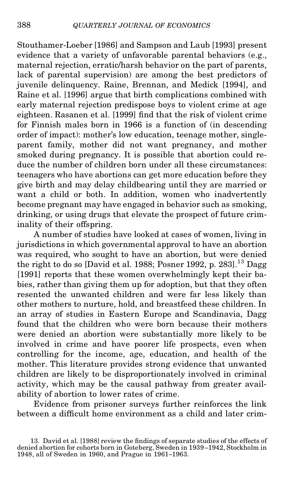Stouthamer-Loeber [1986] and Sampson and Laub [1993] present evidence that a variety of unfavorable parental behaviors (e.g., maternal rejection, erratic/harsh behavior on the part of parents, lack of parental supervision) are among the best predictors of juvenile delinquency. Raine, Brennan, and Medick [1994], and Raine et al. [1996] argue that birth complications combined with early maternal rejection predispose boys to violent crime at age eighteen. Rasanen et al.  $[1999]$  find that the risk of violent crime for Finnish males born in 1966 is a function of (in descending order of impact): mother's low education, teenage mother, singleparent family, mother did not want pregnancy, and mother smoked during pregnancy. It is possible that abortion could reduce the number of children born under all these circumstances: teenagers who have abortions can get more education before they give birth and may delay childbearing until they are married or want a child or both. In addition, women who inadvertently become pregnant may have engaged in behavior such as smoking, drinking, or using drugs that elevate the prospect of future criminality of their offspring.

A number of studies have looked at cases of women, living in jurisdictions in which governmental approval to have an abortion was required, who sought to have an abortion, but were denied the right to do so [David et al. 1988; Posner 1992, p. 283].<sup>13</sup> Dagg [1991] reports that these women overwhelmingly kept their babies, rather than giving them up for adoption, but that they often resented the unwanted children and were far less likely than other mothers to nurture, hold, and breastfeed these children. In an array of studies in Eastern Europe and Scandinavia, Dagg found that the children who were born because their mothers were denied an abortion were substantially more likely to be involved in crime and have poorer life prospects, even when controlling for the income, age, education, and health of the mother. This literature provides strong evidence that unwanted children are likely to be disproportionately involved in criminal activity, which may be the causal pathway from greater availability of abortion to lower rates of crime.

Evidence from prisoner surveys further reinforces the link between a difficult home environment as a child and later crim-

<sup>13.</sup> David et al. [1988] review the findings of separate studies of the effects of denied abortion for cohorts born in Goteberg, Sweden in 1939–1942, Stockholm in 1948, all of Sweden in 1960, and Prague in 1961–1963.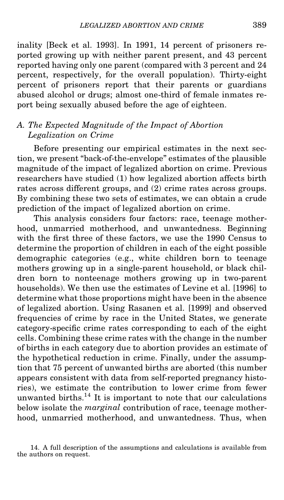inality [Beck et al. 1993]. In 1991, 14 percent of prisoners reported growing up with neither parent present, and 43 percent reported having only one parent (compared with 3 percent and 24 percent, respectively, for the overall population). Thirty-eight percent of prisoners report that their parents or guardians abused alcohol or drugs; almost one-third of female inmates report being sexually abused before the age of eighteen.

# *A. The Expected Magnitude of the Impact of Abortion Legalization on Crime*

Before presenting our empirical estimates in the next section, we present "back-of-the-envelope" estimates of the plausible magnitude of the impact of legalized abortion on crime. Previous researchers have studied (1) how legalized abortion affects birth rates across different groups, and (2) crime rates across groups. By combining these two sets of estimates, we can obtain a crude prediction of the impact of legalized abortion on crime.

This analysis considers four factors: race, teenage motherhood, unmarried motherhood, and unwantedness. Beginning with the first three of these factors, we use the 1990 Census to determine the proportion of children in each of the eight possible demographic categories (e.g., white children born to teenage mothers growing up in a single-parent household, or black children born to nonteenage mothers growing up in two-parent households). We then use the estimates of Levine et al. [1996] to determine what those proportions might have been in the absence of legalized abortion. Using Rasanen et al. [1999] and observed frequencies of crime by race in the United States, we generate category-specific crime rates corresponding to each of the eight cells. Combining these crime rates with the change in the number of births in each category due to abortion provides an estimate of the hypothetical reduction in crime. Finally, under the assumption that 75 percent of unwanted births are aborted (this number appears consistent with data from self-reported pregnancy histories), we estimate the contribution to lower crime from fewer unwanted births.<sup>14</sup> It is important to note that our calculations below isolate the *marginal* contribution of race, teenage motherhood, unmarried motherhood, and unwantedness. Thus, when

<sup>14.</sup> A full description of the assumptions and calculations is available from the authors on request.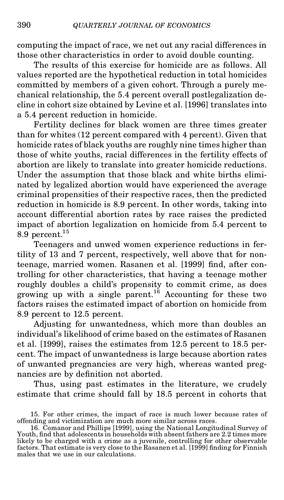computing the impact of race, we net out any racial differences in those other characteristics in order to avoid double counting.

The results of this exercise for homicide are as follows. All values reported are the hypothetical reduction in total homicides committed by members of a given cohort. Through a purely mechanical relationship, the 5.4 percent overall postlegalization decline in cohort size obtained by Levine et al. [1996] translates into a 5.4 percent reduction in homicide.

Fertility declines for black women are three times greater than for whites (12 percent compared with 4 percent). Given that homicide rates of black youths are roughly nine times higher than those of white youths, racial differences in the fertility effects of abortion are likely to translate into greater homicide reductions. Under the assumption that those black and white births eliminated by legalized abortion would have experienced the average criminal propensities of their respective races, then the predicted reduction in homicide is 8.9 percent. In other words, taking into account differential abortion rates by race raises the predicted impact of abortion legalization on homicide from 5.4 percent to  $8.9$  percent.<sup>15</sup>

Teenagers and unwed women experience reductions in fertility of 13 and 7 percent, respectively, well above that for nonteenage, married women. Rasanen et al. [1999] find, after controlling for other characteristics, that having a teenage mother roughly doubles a child's propensity to commit crime, as does growing up with a single parent.<sup>16</sup> Accounting for these two factors raises the estimated impact of abortion on homicide from 8.9 percent to 12.5 percent.

Adjusting for unwantedness, which more than doubles an individual's likelihood of crime based on the estimates of Rasanen et al. [1999], raises the estimates from 12.5 percent to 18.5 percent. The impact of unwantedness is large because abortion rates of unwanted pregnancies are very high, whereas wanted pregnancies are by definition not aborted.

Thus, using past estimates in the literature, we crudely estimate that crime should fall by 18.5 percent in cohorts that

<sup>15.</sup> For other crimes, the impact of race is much lower because rates of offending and victimization are much more similar across races.

<sup>16.</sup> Comanor and Phillips [1999], using the National Longitudinal Survey of Youth, nd that adolescents in households with absent fathers are 2.2 times more likely to be charged with a crime as a juvenile, controlling for other observable factors. That estimate is very close to the Rasanen et al. [1999] finding for Finnish males that we use in our calculations.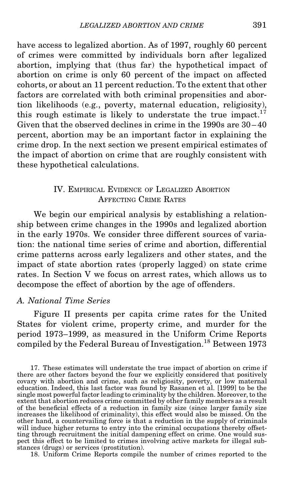have access to legalized abortion. As of 1997, roughly 60 percent of crimes were committed by individuals born after legalized abortion, implying that (thus far) the hypothetical impact of abortion on crime is only 60 percent of the impact on affected cohorts, or about an 11 percent reduction. To the extent that other factors are correlated with both criminal propensities and abortion likelihoods (e.g., poverty, maternal education, religiosity), this rough estimate is likely to understate the true impact.<sup>17</sup> Given that the observed declines in crime in the 1990s are 30– 40 percent, abortion may be an important factor in explaining the crime drop. In the next section we present empirical estimates of the impact of abortion on crime that are roughly consistent with these hypothetical calculations.

# IV. EMPIRICAL EVIDENCE OF LEGALIZED ABORTION AFFECTING CRIME RATES

We begin our empirical analysis by establishing a relationship between crime changes in the 1990s and legalized abortion in the early 1970s. We consider three different sources of variation: the national time series of crime and abortion, differential crime patterns across early legalizers and other states, and the impact of state abortion rates (properly lagged) on state crime rates. In Section V we focus on arrest rates, which allows us to decompose the effect of abortion by the age of offenders.

## *A. National Time Series*

Figure II presents per capita crime rates for the United States for violent crime, property crime, and murder for the period 1973–1999, as measured in the Uniform Crime Reports compiled by the Federal Bureau of Investigation.<sup>18</sup> Between 1973

17. These estimates will understate the true impact of abortion on crime if there are other factors beyond the four we explicitly considered that positively covary with abortion and crime, such as religiosity, poverty, or low maternal education. Indeed, this last factor was found by Rasanen et al. [1999] to be the single most powerful factor leading to criminality by the children. Moreover, to the extent that abortion reduces crime committed by other family members as a result of the beneficial effects of a reduction in family size (since larger family size increases the likelihood of criminality), this effect would also be missed. On the other hand, a countervailing force is that a reduction in the supply of criminals will induce higher returns to entry into the criminal occupations thereby offsetting through recruitment the initial dampening effect on crime. One would suspect this effect to be limited to crimes involving active markets stances (drugs) or services (prostitution).

18. Uniform Crime Reports compile the number of crimes reported to the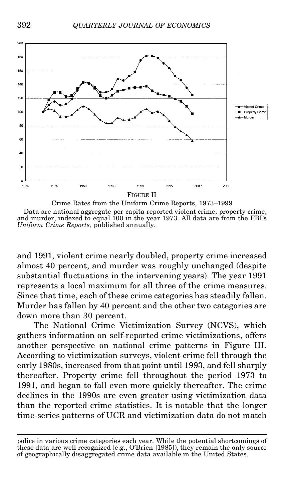

Crime Rates from the Uniform Crime Reports, 1973–1999 Data are national aggregate per capita reported violent crime, property crime, and murder, indexed to equal 100 in the year 1973. All data are from the FBI's *Uniform Crime Reports,* published annually.

and 1991, violent crime nearly doubled, property crime increased almost 40 percent, and murder was roughly unchanged (despite substantial fluctuations in the intervening years). The year 1991 represents a local maximum for all three of the crime measures. Since that time, each of these crime categories has steadily fallen. Murder has fallen by 40 percent and the other two categories are down more than 30 percent.

The National Crime Victimization Survey (NCVS), which gathers information on self-reported crime victimizations, offers another perspective on national crime patterns in Figure III. According to victimization surveys, violent crime fell through the early 1980s, increased from that point until 1993, and fell sharply thereafter. Property crime fell throughout the period 1973 to 1991, and began to fall even more quickly thereafter. The crime declines in the 1990s are even greater using victimization data than the reported crime statistics. It is notable that the longer time-series patterns of UCR and victimization data do not match

police in various crime categories each year. While the potential shortcomings of these data are well recognized (e.g., O'Brien [1985]), they remain the only source of geographically disaggregated crime data available in the United States.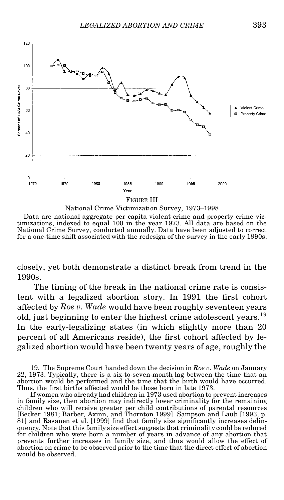

National Crime Victimization Survey, 1973–1998 Data are national aggregate per capita violent crime and property crime vic-

timizations, indexed to equal 100 in the year 1973. All data are based on the National Crime Survey, conducted annually. Data have been adjusted to correct for a one-time shift associated with the redesign of the survey in the early 1990s.

closely, yet both demonstrate a distinct break from trend in the 1990s.

The timing of the break in the national crime rate is consistent with a legalized abortion story. In 1991 the first cohort affected by *Roe v. Wade* would have been roughly seventeen years old, just beginning to enter the highest crime adolescent years.<sup>19</sup> In the early-legalizing states (in which slightly more than 20 percent of all Americans reside), the first cohort affected by legalized abortion would have been twenty years of age, roughly the

19. The Supreme Court handed down the decision in *Roe v. Wade* on January 22, 1973. Typically, there is a six-to-seven-month lag between the time that an abortion would be performed and the time that the birth would have occurred. Thus, the first births affected would be those born in late 1973.

If women who already had children in 1973 used abortion to prevent increases in family size, then abortion may indirectly lower criminality for the remaining children who will receive greater per child contributions of parental resources [Becker 1981; Barber, Axinn, and Thornton 1999]. Sampson and Laub [1993, p. 81] and Rasanen et al. [1999] find that family size significantly increases delinquency. Note that this family size effect suggests that criminality could be reduced for children who were born a number of years in advance of any abortion that prevents further increases in family size, and thus would allow the effect of abortion on crime to be observed prior to the time that the direct effect of abortion would be observed.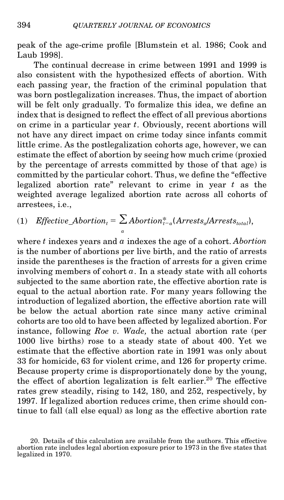peak of the age-crime profile [Blumstein et al. 1986; Cook and Laub 1998].

The continual decrease in crime between 1991 and 1999 is also consistent with the hypothesized effects of abortion. With each passing year, the fraction of the criminal population that was born postlegalization increases. Thus, the impact of abortion will be felt only gradually. To formalize this idea, we define an index that is designed to reflect the effect of all previous abortions on crime in a particular year *t*. Obviously, recent abortions will not have any direct impact on crime today since infants commit little crime. As the postlegalization cohorts age, however, we can estimate the effect of abortion by seeing how much crime (proxied by the percentage of arrests committed by those of that age) is committed by the particular cohort. Thus, we define the "effective" legalized abortion rate" relevant to crime in year *t* as the weighted average legalized abortion rate across all cohorts of arrestees, i.e.,

(1) *Effective\_Abortion*<sub>t</sub> = 
$$
\sum_{a}
$$
 Abortion<sup>\*</sup><sub>t-a</sub>(Arrests<sub>a</sub>/Arrests<sub>total</sub>),

where *t* indexes years and *a* indexes the age of a cohort. *Abortion* is the number of abortions per live birth, and the ratio of arrests inside the parentheses is the fraction of arrests for a given crime involving members of cohort *a*. In a steady state with all cohorts subjected to the same abortion rate, the effective abortion rate is equal to the actual abortion rate. For many years following the introduction of legalized abortion, the effective abortion rate will be below the actual abortion rate since many active criminal cohorts are too old to have been affected by legalized abortion. For instance, following *Roe v. Wade,* the actual abortion rate (per 1000 live births) rose to a steady state of about 400. Yet we estimate that the effective abortion rate in 1991 was only about 33 for homicide, 63 for violent crime, and 126 for property crime. Because property crime is disproportionately done by the young, the effect of abortion legalization is felt earlier.<sup>20</sup> The effective rates grew steadily, rising to 142, 180, and 252, respectively, by 1997. If legalized abortion reduces crime, then crime should continue to fall (all else equal) as long as the effective abortion rate

<sup>20.</sup> Details of this calculation are available from the authors. This effective abortion rate includes legal abortion exposure prior to 1973 in the five states that legalized in 1970.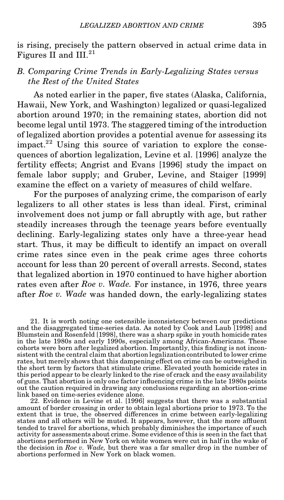is rising, precisely the pattern observed in actual crime data in Figures II and III.<sup>21</sup>

## *B. Comparing Crime Trends in Early-Legalizing States versus the Rest of the United States*

As noted earlier in the paper, five states (Alaska, California, Hawaii, New York, and Washington) legalized or quasi-legalized abortion around 1970; in the remaining states, abortion did not become legal until 1973. The staggered timing of the introduction of legalized abortion provides a potential avenue for assessing its impact.<sup>22</sup> Using this source of variation to explore the consequences of abortion legalization, Levine et al. [1996] analyze the fertility effects; Angrist and Evans [1996] study the impact on female labor supply; and Gruber, Levine, and Staiger [1999] examine the effect on a variety of measures of child welfare.

For the purposes of analyzing crime, the comparison of early legalizers to all other states is less than ideal. First, criminal involvement does not jump or fall abruptly with age, but rather steadily increases through the teenage years before eventually declining. Early-legalizing states only have a three-year head start. Thus, it may be difficult to identify an impact on overall crime rates since even in the peak crime ages three cohorts account for less than 20 percent of overall arrests. Second, states that legalized abortion in 1970 continued to have higher abortion rates even after *Roe v. Wade.* For instance, in 1976, three years after *Roe v. Wade* was handed down, the early-legalizing states

21. It is worth noting one ostensible inconsistency between our predictions and the disaggregated time-series data. As noted by Cook and Laub [1998] and Blumstein and Rosenfeld [1998], there was a sharp spike in youth homicide rates in the late 1980s and early 1990s, especially among African-Americans. These cohorts were born after legalized abortion. Importantly, this finding is not inconsistent with the central claim that abortion legalization contributed to lower crime rates, but merely shows that this dampening effect on crime can be outweighed in the short term by factors that stimulate crime. Elevated youth homicide rates in this period appear to be clearly linked to the rise of crack and the easy availability of guns. That abortion is only one factor influencing crime in the late 1980s points out the caution required in drawing any conclusions regarding an abortion-crime link based on time-series evidence alone.

22. Evidence in Levine et al. [1996] suggests that there was a substantial amount of border crossing in order to obtain legal abortions prior to 1973. To the extent that is true, the observed differences in crime between early-legalizing states and all others will be muted. It appears, however, that the more affluent tended to travel for abortions, which probably diminishes the importance of such activity for assessments about crime. Some evidence of this is seen in the fact that abortions performed in New York on white women were cut in half in the wake of the decision in *Roe v. Wade,* but there was a far smaller drop in the number of abortions performed in New York on black women.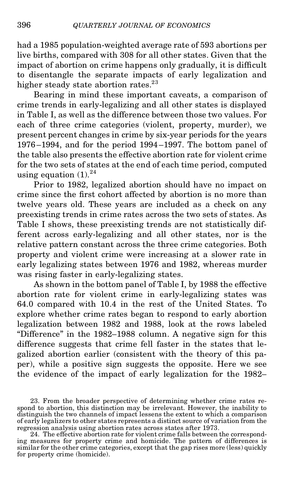had a 1985 population-weighted average rate of 593 abortions per live births, compared with 308 for all other states. Given that the impact of abortion on crime happens only gradually, it is difficult to disentangle the separate impacts of early legalization and higher steady state abortion rates.<sup>23</sup>

Bearing in mind these important caveats, a comparison of crime trends in early-legalizing and all other states is displayed in Table I, as well as the difference between those two values. For each of three crime categories (violent, property, murder), we present percent changes in crime by six-year periods for the years 1976 –1994, and for the period 1994 –1997. The bottom panel of the table also presents the effective abortion rate for violent crime for the two sets of states at the end of each time period, computed using equation  $(1).^{24}$ 

Prior to 1982, legalized abortion should have no impact on crime since the first cohort affected by abortion is no more than twelve years old. These years are included as a check on any preexisting trends in crime rates across the two sets of states. As Table I shows, these preexisting trends are not statistically different across early-legalizing and all other states, nor is the relative pattern constant across the three crime categories. Both property and violent crime were increasing at a slower rate in early legalizing states between 1976 and 1982, whereas murder was rising faster in early-legalizing states.

As shown in the bottom panel of Table I, by 1988 the effective abortion rate for violent crime in early-legalizing states was 64.0 compared with 10.4 in the rest of the United States. To explore whether crime rates began to respond to early abortion legalization between 1982 and 1988, look at the rows labeled "Difference" in the 1982–1988 column. A negative sign for this difference suggests that crime fell faster in the states that legalized abortion earlier (consistent with the theory of this paper), while a positive sign suggests the opposite. Here we see the evidence of the impact of early legalization for the 1982–

ing measures for property crime and homicide. The pattern of differences is similar for the other crime categories, except that the gap rises more (less) quickly for property crime (homicide).

<sup>23.</sup> From the broader perspective of determining whether crime rates re spond to abortion, this distinction may be irrelevant. However, the inability to distinguish the two channels of impact lessens the extent to which a comparison of early legalizers to other states represents a distinct source of variation from the regression analysis using abortion rates across states after 1973. 24. The effective abortion rate for violent crime falls between the correspond-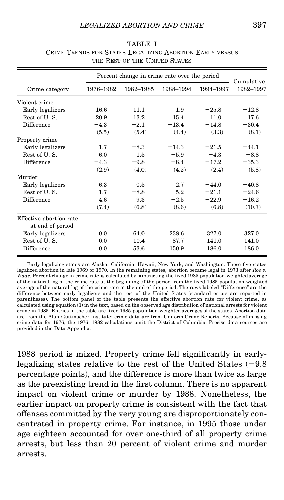|                                             |           |           | Percent change in crime rate over the period |           | Cumulative, |
|---------------------------------------------|-----------|-----------|----------------------------------------------|-----------|-------------|
| Crime category                              | 1976–1982 | 1982–1985 | 1988–1994                                    | 1994-1997 | 1982-1997   |
| Violent crime                               |           |           |                                              |           |             |
| Early legalizers                            | 16.6      | 11.1      | 1.9                                          | $-25.8$   | $-12.8$     |
| Rest of II S                                | 20.9      | 13.2      | 15.4                                         | $-11.0$   | 17.6        |
| Difference                                  | $-4.3$    | $-2.1$    | $-13.4$                                      | $-14.8$   | $-30.4$     |
|                                             | (5.5)     | (5.4)     | (4.4)                                        | (3.3)     | (8.1)       |
| Property crime                              |           |           |                                              |           |             |
| Early legalizers                            | 1.7       | $-8.3$    | $-14.3$                                      | $-21.5$   | $-44.1$     |
| Rest of U.S.                                | 6.0       | 1.5       | $-5.9$                                       | $-4.3$    | $-8.8$      |
| Difference                                  | $-4.3$    | $-9.8$    | $-8.4$                                       | $-17.2$   | $-35.3$     |
|                                             | (2.9)     | (4.0)     | (4.2)                                        | (2.4)     | (5.8)       |
| Murder                                      |           |           |                                              |           |             |
| Early legalizers                            | 6.3       | 0.5       | 2.7                                          | $-44.0$   | $-40.8$     |
| Rest of U.S.                                | 1.7       | $-8.8$    | 5.2                                          | $-21.1$   | $-24.6$     |
| Difference                                  | 4.6       | 9.3       | $-2.5$                                       | $-22.9$   | $-16.2$     |
|                                             | (7.4)     | (6.8)     | (8.6)                                        | (6.8)     | (10.7)      |
| Effective abortion rate<br>at end of period |           |           |                                              |           |             |
| Early legalizers                            | 0.0       | 64.0      | 238.6                                        | 327.0     | 327.0       |
| Rest of U.S.                                | 0.0       | 10.4      | 87.7                                         | 141.0     | 141.0       |
| Difference                                  | 0.0       | 53.6      | 150.9                                        | 186.0     | 186.0       |

TABLE I CRIME TRENDS FOR STATES LEGALIZING ABORTION EARLY VERSUS THE REST OF THE UNITED STATES

Early legalizing states are Alaska, California, Hawaii, New York, and Washington. These five states legalized abortion in late 1969 or 1970. In the remaining states, abortion became legal in 1973 after *Roe v. Wade*. Percent change in crime rate is calculated by subtracting the fixed 1985 population-weighted average of the natural log of the crime rate at the beginning of the period from the xed 1985 population-weighted average of the natural log of the crime rate at the end of the period. The rows labeled "Difference" are the difference between early legalizers and the rest of the United States (standard errors are reported in parentheses). The bottom panel of the table presents the effective abortion rate for violent crime, as calculated using equation (1) in the text, based on the observed age distribution of national arrests for violent crime in 1985. Entries in the table are fixed 1985 population-weighted averages of the states. Abortion data are from the Alan Guttmacher Institute; crime data are from Uniform Crime Reports. Because of missing crime data for 1976, the 1976–1982 calculations omit the District of Columbia. Precise data sources are provided in the Data Appendix.

1988 period is mixed. Property crime fell significantly in earlylegalizing states relative to the rest of the United States  $(-9.8)$ percentage points), and the difference is more than twice as large as the preexisting trend in the first column. There is no apparent impact on violent crime or murder by 1988. Nonetheless, the earlier impact on property crime is consistent with the fact that offenses committed by the very young are disproportionately concentrated in property crime. For instance, in 1995 those under age eighteen accounted for over one-third of all property crime arrests, but less than 20 percent of violent crime and murder arrests.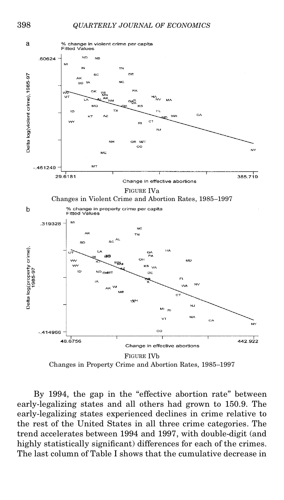

Changes in Property Crime and Abortion Rates, 1985–1997

By 1994, the gap in the "effective abortion rate" between early-legalizing states and all others had grown to 150.9. The early-legalizing states experienced declines in crime relative to the rest of the United States in all three crime categories. The trend accelerates between 1994 and 1997, with double-digit (and highly statistically significant) differences for each of the crimes. The last column of Table I shows that the cumulative decrease in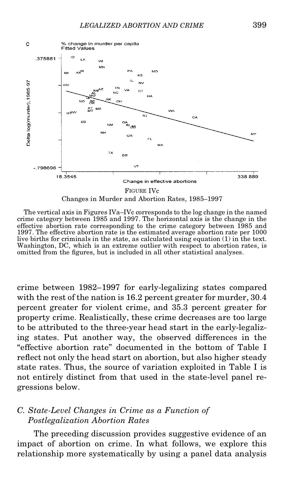

The vertical axis in Figures IVa–IVc corresponds to the log change in the named crime category between 1985 and 1997. The horizontal axis is the change in the effective abortion rate corresponding to the crime category between 1985 and 1997. The effective abortion rate is the estimated average abortion rate per 1000 live births for criminals in the state, as calculated using equation (1) in the text. Washington, DC, which is an extreme outlier with respect to abortion rates, is omitted from the figures, but is included in all other statistical analyses.

crime between 1982–1997 for early-legalizing states compared with the rest of the nation is 16.2 percent greater for murder, 30.4 percent greater for violent crime, and 35.3 percent greater for property crime. Realistically, these crime decreases are too large to be attributed to the three-year head start in the early-legalizing states. Put another way, the observed differences in the "effective abortion rate" documented in the bottom of Table I reflect not only the head start on abortion, but also higher steady state rates. Thus, the source of variation exploited in Table I is not entirely distinct from that used in the state-level panel regressions below.

## *C. State-Level Changes in Crime as a Function of Postlegalization Abortion Rates*

The preceding discussion provides suggestive evidence of an impact of abortion on crime. In what follows, we explore this relationship more systematically by using a panel data analysis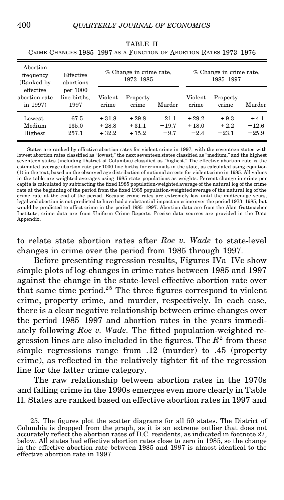| Abortion<br>frequency<br>(Ranked by)   | Effective<br>abortions           |                               | % Change in crime rate,<br>1973-1985 |                              |                              | % Change in crime rate,<br>1985-1997 |                              |
|----------------------------------------|----------------------------------|-------------------------------|--------------------------------------|------------------------------|------------------------------|--------------------------------------|------------------------------|
| effective<br>abortion rate<br>in 1997) | per 1000<br>live births,<br>1997 | $\rm Violent$<br>crime        | Property<br>crime                    | Murder                       | Violent<br>crime             | Property<br>crime                    | Murder                       |
| Lowest<br>Medium<br>Highest            | 67.5<br>135.0<br>257.1           | $+31.8$<br>$+28.8$<br>$+32.2$ | $+29.8$<br>$+31.1$<br>$+15.2$        | $-21.1$<br>$-19.7$<br>$-9.7$ | $+29.2$<br>$+18.0$<br>$-2.4$ | $+9.3$<br>$+2.2$<br>$-23.1$          | $+4.1$<br>$-12.6$<br>$-25.9$ |

TABLE II CRIME CHANGES 1985–1997 AS A FUNCTION OF ABORTION RATES 1973–1976

States are ranked by effective abortion rates for violent crime in 1997, with the seventeen states with lowest abortion rates classified as "lowest," the next seventeen states classified as "medium," and the highest seventeen states (including District of Columbia) classified as "highest." The effective abortion rate is the estimated average abortion rate per 1000 live births for criminals in the state, as calculated using equation (1) in the text, based on the observed age distribution of national arrests for violent crime in 1985. All values in the table are weighted averages using 1985 state populations as weights. Percent change in crime per capita is calculated by subtracting the fixed 1985 population-weighted average of the natural log of the crime rate at the beginning of the period from the fixed 1985 population-weighted average of the natural log of the crime rate at the end of the period. Because crime rates are extremely low until the midteenage years, legalized abortion is not predicted to have had a substantial impact on crime over the period 1973–1985, but would be predicted to affect crime in the period 1985–1997. Abortion data are from the Alan Guttmacher Institute; crime data are from Uniform Crime Reports. Precise data sources are provided in the Data Appendix.

to relate state abortion rates after *Roe v. Wade* to state-level changes in crime over the period from 1985 through 1997.

Before presenting regression results, Figures IVa–IVc show simple plots of log-changes in crime rates between 1985 and 1997 against the change in the state-level effective abortion rate over that same time period. $25$  The three figures correspond to violent crime, property crime, and murder, respectively. In each case, there is a clear negative relationship between crime changes over the period 1985–1997 and abortion rates in the years immediately following *Roe v. Wade*. The fitted population-weighted regression lines are also included in the figures. The  $R^2$  from these simple regressions range from .12 (murder) to .45 (property crime), as reflected in the relatively tighter fit of the regression line for the latter crime category.

The raw relationship between abortion rates in the 1970s and falling crime in the 1990s emerges even more clearly in Table II. States are ranked based on effective abortion rates in 1997 and

<sup>25.</sup> The figures plot the scatter diagrams for all 50 states. The District of Columbia is dropped from the graph, as it is an extreme outlier that does not accurately reflect the abortion rates of D.C. residents, as indicated in footnote  $27$ , below. All states had effective abortion rates close to zero in 1985, so the change in the effective abortion rate between 1985 and 1997 is almost identical to the effective abortion rate in 1997.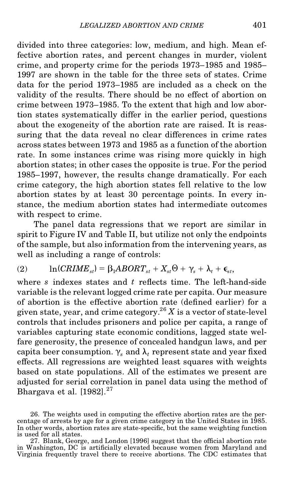divided into three categories: low, medium, and high. Mean effective abortion rates, and percent changes in murder, violent crime, and property crime for the periods 1973–1985 and 1985– 1997 are shown in the table for the three sets of states. Crime data for the period 1973–1985 are included as a check on the validity of the results. There should be no effect of abortion on crime between 1973–1985. To the extent that high and low abortion states systematically differ in the earlier period, questions about the exogeneity of the abortion rate are raised. It is reassuring that the data reveal no clear differences in crime rates across states between 1973 and 1985 as a function of the abortion rate. In some instances crime was rising more quickly in high abortion states; in other cases the opposite is true. For the period 1985–1997, however, the results change dramatically. For each crime category, the high abortion states fell relative to the low abortion states by at least 30 percentage points. In every instance, the medium abortion states had intermediate outcomes with respect to crime.

The panel data regressions that we report are similar in spirit to Figure IV and Table II, but utilize not only the endpoints of the sample, but also information from the intervening years, as well as including a range of controls:

$$
(2) \qquad \ln(CRIME_{st}) = \beta_1 ABORT_{st} + X_{st}\Theta + \gamma_s + \lambda_t + \epsilon_{st},
$$

where  $s$  indexes states and  $t$  reflects time. The left-hand-side variable is the relevant logged crime rate per capita. Our measure of abortion is the effective abortion rate (defined earlier) for a given state, year, and crime category.<sup>26</sup>  $X$  is a vector of state-level controls that includes prisoners and police per capita, a range of variables capturing state economic conditions, lagged state welfare generosity, the presence of concealed handgun laws, and per capita beer consumption.  $\gamma_s$  and  $\lambda_t$  represent state and year fixed effects. All regressions are weighted least squares with weights based on state populations. All of the estimates we present are adjusted for serial correlation in panel data using the method of Bhargava et al.  $[1982]$ .<sup>27</sup>

<sup>26.</sup> The weights used in computing the effective abortion rates are the percentage of arrests by age for a given crime category in the United States in 1985. In other words, abortion rates are state-specific, but the same weighting function is used for all states.

<sup>27.</sup> Blank, George, and London [1996] suggest that the official abortion rate in Washington, DC is articially elevated because women from Maryland and Virginia frequently travel there to receive abortions. The CDC estimates that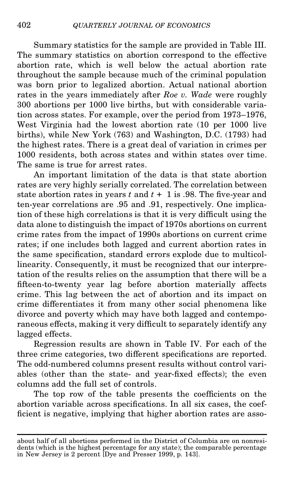Summary statistics for the sample are provided in Table III. The summary statistics on abortion correspond to the effective abortion rate, which is well below the actual abortion rate throughout the sample because much of the criminal population was born prior to legalized abortion. Actual national abortion rates in the years immediately after *Roe v. Wade* were roughly 300 abortions per 1000 live births, but with considerable variation across states. For example, over the period from 1973–1976, West Virginia had the lowest abortion rate (10 per 1000 live births), while New York (763) and Washington, D.C. (1793) had the highest rates. There is a great deal of variation in crimes per 1000 residents, both across states and within states over time. The same is true for arrest rates.

An important limitation of the data is that state abortion rates are very highly serially correlated. The correlation between state abortion rates in years  $t$  and  $t + 1$  is .98. The five-year and ten-year correlations are .95 and .91, respectively. One implication of these high correlations is that it is very difficult using the data alone to distinguish the impact of 1970s abortions on current crime rates from the impact of 1990s abortions on current crime rates; if one includes both lagged and current abortion rates in the same specification, standard errors explode due to multicollinearity. Consequently, it must be recognized that our interpretation of the results relies on the assumption that there will be a fifteen-to-twenty year lag before abortion materially affects crime. This lag between the act of abortion and its impact on crime differentiates it from many other social phenomena like divorce and poverty which may have both lagged and contemporaneous effects, making it very difficult to separately identify any lagged effects.

Regression results are shown in Table IV. For each of the three crime categories, two different specifications are reported. The odd-numbered columns present results without control variables (other than the state- and year-fixed effects); the even columns add the full set of controls.

The top row of the table presents the coefficients on the abortion variable across specifications. In all six cases, the coefficient is negative, implying that higher abortion rates are asso-

about half of all abortions performed in the District of Columbia are on nonresidents (which is the highest percentage for any state); the comparable percentage in New Jersey is 2 percent [Dye and Presser 1999, p. 143].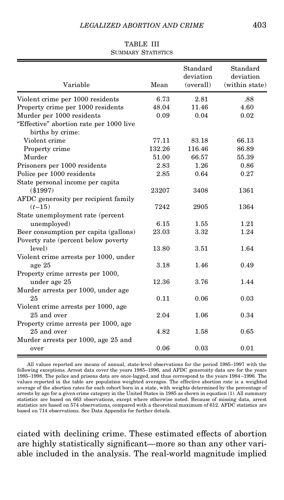| Variable                                                    | Mean   | Standard<br>deviation<br>(overall) | Standard<br>deviation<br>(within state) |
|-------------------------------------------------------------|--------|------------------------------------|-----------------------------------------|
| Violent crime per 1000 residents                            | 6.73   | 2.81                               | .88                                     |
| Property crime per 1000 residents                           | 48.04  | 11.46                              | 4.60                                    |
| Murder per 1000 residents                                   | 0.09   | 0.04                               | 0.02                                    |
| "Effective" abortion rate per 1000 live<br>births by crime: |        |                                    |                                         |
| Violent crime                                               | 77.11  | 83.18                              | 66.13                                   |
| Property crime                                              | 132.26 | 116.46                             | 86.89                                   |
| Murder                                                      | 51.00  | 66.57                              | 55.39                                   |
| Prisoners per 1000 residents                                | 2.83   | 1.26                               | 0.86                                    |
| Police per 1000 residents                                   | 2.85   | 0.64                               | 0.27                                    |
| State personal income per capita                            |        |                                    |                                         |
| $(\$1997)$                                                  | 23207  | 3408                               | 1361                                    |
| AFDC generosity per recipient family                        |        |                                    |                                         |
| $(t-15)$                                                    | 7242   | 2905                               | 1364                                    |
| State unemployment rate (percent                            |        |                                    |                                         |
| unemployed)                                                 | 6.15   | 1.55                               | 1.21                                    |
| Beer consumption per capita (gallons)                       | 23.03  | 3.32                               | 1.24                                    |
| Poverty rate (percent below poverty                         |        |                                    |                                         |
| level)                                                      | 13.80  | 3.51                               | 1.64                                    |
| Violent crime arrests per 1000, under                       |        |                                    |                                         |
| age 25                                                      | 3.18   | 1.46                               | 0.49                                    |
| Property crime arrests per 1000,                            |        |                                    |                                         |
| under age 25                                                | 12.36  | 3.76                               | 1.44                                    |
| Murder arrests per 1000, under age                          |        |                                    |                                         |
| 25                                                          | 0.11   | 0.06                               | 0.03                                    |
| Violent crime arrests per 1000, age                         |        |                                    |                                         |
| 25 and over                                                 | 2.04   | 1.06                               | 0.34                                    |
| Property crime arrests per 1000, age                        |        |                                    |                                         |
| 25 and over                                                 | 4.82   | 1.58                               | 0.65                                    |
| Murder arrests per 1000, age 25 and                         |        |                                    |                                         |
| over                                                        | 0.06   | 0.03                               | 0.01                                    |

TABLE III SUMMARY STATISTICS

All values reported are means of annual, state-level observations for the period 1985–1997 with the following exceptions. Arrest data cover the years 1985–1996, and AFDC generosity data are for the years 1985–1998. The police and prisons data are once-lagged, and thus correspond to the years 1984–1996. The values reported in the table are population weighted averages. The effective abortion rate is a weighted average of the abortion rates for each cohort born in a state, with weights determined by the percentage of arrests by age for a given crime category in the United States in 1985 as shown in equation (1). All summary statistics are based on 663 observations, except where otherwise noted. Because of missing data, arrest statistics are based on 574 observations, compared with a theoretical maximum of 612. AFDC statistics are based on 714 observations. See Data Appendix for further details.

ciated with declining crime. These estimated effects of abortion are highly statistically significant—more so than any other variable included in the analysis. The real-world magnitude implied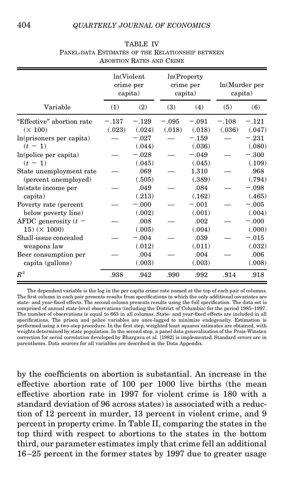|                           | crime per | ln(Violent<br>capita) |         | ln(Property<br>crime per<br>capita) |         | $ln(M$ urder per<br>capita) |
|---------------------------|-----------|-----------------------|---------|-------------------------------------|---------|-----------------------------|
| Variable                  | (1)       | (2)                   | (3)     | (4)                                 | (5)     | (6)                         |
| "Effective" abortion rate | $-.137$   | $-.129$               | $-.095$ | $-.091$                             | $-.108$ | $-.121$                     |
| $(\times 100)$            | (.023)    | (.024)                | (.018)  | (.018)                              | (.036)  | (.047)                      |
| ln(prisoners per capita)  |           | $-.027$               |         | $-.159$                             |         | $-.231$                     |
| $(t - 1)$                 |           | (.044)                |         | (.036)                              |         | (.080)                      |
| ln(police per capita)     |           | $-.028$               |         | $-.049$                             |         | $-.300$                     |
| $(t - 1)$                 |           | (.045)                |         | (.045)                              |         | (.109)                      |
| State unemployment rate   |           | .069                  |         | 1.310                               |         | .968                        |
| (percent unemployed)      |           | (.505)                |         | (.389)                              |         | (.794)                      |
| In(state income per       |           | .049                  |         | .084                                |         | $-.098$                     |
| capita)                   |           | (.213)                |         | (.162)                              |         | (.465)                      |
| Poverty rate (percent)    |           | $-.000$               |         | $-.001$                             |         | $-.005$                     |
| below poverty line)       |           | (.002)                |         | (.001)                              |         | (.004)                      |
| AFDC generosity $(t -$    |           | .008                  |         | .002                                |         | $-.000$                     |
| $15)(\times 1000)$        |           | (.005)                |         | (.004)                              |         | (.000)                      |
| Shall-issue concealed     |           | $-.004$               |         | .039                                |         | $-.015$                     |
| weapons law               |           | (.012)                |         | (.011)                              |         | (.032)                      |
| Beer consumption per      |           | .004                  |         | .004                                |         | .006                        |
| capita (gallons)          |           | (.003)                |         | (.003)                              |         | (.008)                      |
| $R^2$                     | .938      | .942                  | .990    | .992                                | .914    | .918                        |

TABLE IV PANEL-DATA ESTIMATES OF THE RELATIONSHIP BETWEEN ABORTION RATES AND CRIME

The dependent variable is the log in the per capita crime rate named at the top of each pair of columns. The first column in each pair presents results from specifications in which the only additional covariates are state- and year-fixed effects. The second column presents results using the full specification. The data set is comprised of annual state-level observations (including the District of Columbia) for the period 1985–1997. The number of observations is equal to 663 in all columns. State- and year-fixed effects are included in all specifications. The prison and police variables are once-lagged to minimize endogeneity. Estimation is performed using a two-step procedure. In the first step, weighted least squares estimates are obtained, with weights determined by state population. In the second step, a panel data generalization of the Prais-Winsten correction for serial correlation developed by Bhargava et al. [1982] is implemented. Standard errors are in parentheses. Data sources for all variables are described in the Data Appendix.

by the coefficients on abortion is substantial. An increase in the effective abortion rate of 100 per 1000 live births (the mean effective abortion rate in 1997 for violent crime is 180 with a standard deviation of 96 across states) is associated with a reduction of 12 percent in murder, 13 percent in violent crime, and 9 percent in property crime. In Table II, comparing the states in the top third with respect to abortions to the states in the bottom third, our parameter estimates imply that crime fell an additional 16–25 percent in the former states by 1997 due to greater usage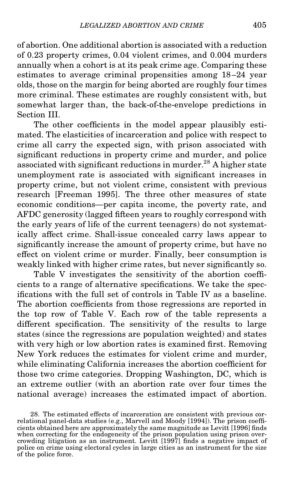of abortion. One additional abortion is associated with a reduction of 0.23 property crimes, 0.04 violent crimes, and 0.004 murders annually when a cohort is at its peak crime age. Comparing these estimates to average criminal propensities among 18–24 year olds, those on the margin for being aborted are roughly four times more criminal. These estimates are roughly consistent with, but somewhat larger than, the back-of-the-envelope predictions in Section III.

The other coefficients in the model appear plausibly estimated. The elasticities of incarceration and police with respect to crime all carry the expected sign, with prison associated with significant reductions in property crime and murder, and police associated with significant reductions in murder.<sup>28</sup> A higher state unemployment rate is associated with significant increases in property crime, but not violent crime, consistent with previous research [Freeman 1995]. The three other measures of state economic conditions—per capita income, the poverty rate, and AFDC generosity (lagged fifteen years to roughly correspond with the early years of life of the current teenagers) do not systematically affect crime. Shall-issue concealed carry laws appear to significantly increase the amount of property crime, but have no effect on violent crime or murder. Finally, beer consumption is weakly linked with higher crime rates, but never significantly so.

Table V investigates the sensitivity of the abortion coefficients to a range of alternative specifications. We take the specifications with the full set of controls in Table IV as a baseline. The abortion coefficients from those regressions are reported in the top row of Table V. Each row of the table represents a different specification. The sensitivity of the results to large states (since the regressions are population weighted) and states with very high or low abortion rates is examined first. Removing New York reduces the estimates for violent crime and murder, while eliminating California increases the abortion coefficient for those two crime categories. Dropping Washington, DC, which is an extreme outlier (with an abortion rate over four times the national average) increases the estimated impact of abortion.

<sup>28.</sup> The estimated effects of incarceration are consistent with previous cor relational panel-data studies (e.g., Marvell and Moody [1994]). The prison coefficients obtained here are approximately the same magnitude as Levitt [1996] finds<br>when correcting for the endogeneity of the prison population using prison over-<br>crowding litigation as an instrument. Levitt [1997] finds a n police on crime using electoral cycles in large cities as an instrument for the size of the police force.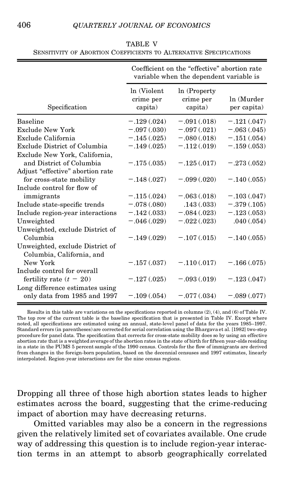|                                  |                                     | Coefficient on the "effective" abortion rate<br>variable when the dependent variable is |                           |
|----------------------------------|-------------------------------------|-----------------------------------------------------------------------------------------|---------------------------|
| Specification                    | In (Violent<br>crime per<br>capita) | In (Property<br>crime per<br>capita)                                                    | In (Murder<br>per capita) |
| <b>Baseline</b>                  | $-.129(.024)$                       | $-.091(.018)$                                                                           | $-.121(.047)$             |
| Exclude New York                 | $-.097(.030)$                       | $-.097(.021)$                                                                           | $-.063(.045)$             |
| Exclude California               | $-.145(.025)$                       | $-.080(.018)$                                                                           | $-.151(.054)$             |
| Exclude District of Columbia     | $-.149(.025)$                       | $-.112(.019)$                                                                           | $-.159(.053)$             |
| Exclude New York, California,    |                                     |                                                                                         |                           |
| and District of Columbia         | $-.175(.035)$                       | $-.125(.017)$                                                                           | $-.273(.052)$             |
| Adjust "effective" abortion rate |                                     |                                                                                         |                           |
| for cross-state mobility         | $-.148(.027)$                       | $-.099(.020)$                                                                           | $-.140(.055)$             |
| Include control for flow of      |                                     |                                                                                         |                           |
| immigrants                       | $-.115(.024)$                       | $-.063(.018)$                                                                           | $-.103(.047)$             |
| Include state-specific trends    | $-.078(.080)$                       | .143(.033)                                                                              | $-.379(.105)$             |
| Include region-year interactions | $-.142(.033)$                       | $-.084(.023)$                                                                           | $-.123(.053)$             |
| Unweighted                       | $-.046(.029)$                       | $-.022(.023)$                                                                           | .040(.054)                |
| Unweighted, exclude District of  |                                     |                                                                                         |                           |
| Columbia                         | $-.149(.029)$                       | $-.107(.015)$                                                                           | $-.140(.055)$             |
| Unweighted, exclude District of  |                                     |                                                                                         |                           |
| Columbia, California, and        |                                     |                                                                                         |                           |
| New York                         | $-.157(.037)$                       | $-.110(.017)$                                                                           | $-.166(.075)$             |
| Include control for overall      |                                     |                                                                                         |                           |
| fertility rate $(t - 20)$        | $-.127(.025)$                       | $-.093(.019)$                                                                           | $-.123(.047)$             |
| Long difference estimates using  |                                     |                                                                                         |                           |
| only data from 1985 and 1997     | $-.109(.054)$                       | $-.077(.034)$                                                                           | $-.089(.077)$             |

TABLE V SENSITIVITY OF ABORTION COEFFICIENTS TO ALTERNATIVE SPECIFICATIONS

Results in this table are variations on the specifications reported in columns  $(2)$ ,  $(4)$ , and  $(6)$  of Table IV. The top row of the current table is the baseline specification that is presented in Table IV. Except where noted, all specifications are estimated using an annual, state-level panel of data for the years 1985–1997. Standard errors (in parentheses) are corrected for serial correlation using the Bhargava et al. [1982] two-step procedure for panel data. The specification that corrects for cross-state mobility does so by using an effective abortion rate that is a weighted average of the abortion rates in the state of birth for fteen year-olds residing in a state in the PUMS 5 percent sample of the 1990 census. Controls for the flow of immigrants are derived from changes in the foreign-born population, based on the decennial censuses and 1997 estimates, linearly interpolated. Region-year interactions are for the nine census regions.

Dropping all three of those high abortion states leads to higher estimates across the board, suggesting that the crime-reducing impact of abortion may have decreasing returns.

Omitted variables may also be a concern in the regressions given the relatively limited set of covariates available. One crude way of addressing this question is to include region-year interaction terms in an attempt to absorb geographically correlated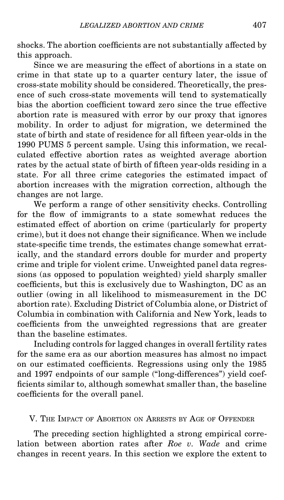shocks. The abortion coefficients are not substantially affected by this approach.

Since we are measuring the effect of abortions in a state on crime in that state up to a quarter century later, the issue of cross-state mobility should be considered. Theoretically, the presence of such cross-state movements will tend to systematically bias the abortion coefficient toward zero since the true effective abortion rate is measured with error by our proxy that ignores mobility. In order to adjust for migration, we determined the state of birth and state of residence for all fifteen year-olds in the 1990 PUMS 5 percent sample. Using this information, we recalculated effective abortion rates as weighted average abortion rates by the actual state of birth of fifteen year-olds residing in a state. For all three crime categories the estimated impact of abortion increases with the migration correction, although the changes are not large.

We perform a range of other sensitivity checks. Controlling for the flow of immigrants to a state somewhat reduces the estimated effect of abortion on crime (particularly for property crime), but it does not change their signicance. When we include state-specific time trends, the estimates change somewhat erratically, and the standard errors double for murder and property crime and triple for violent crime. Unweighted panel data regressions (as opposed to population weighted) yield sharply smaller coefficients, but this is exclusively due to Washington, DC as an outlier (owing in all likelihood to mismeasurement in the DC abortion rate). Excluding District of Columbia alone, or District of Columbia in combination with California and New York, leads to coefficients from the unweighted regressions that are greater than the baseline estimates.

Including controls for lagged changes in overall fertility rates for the same era as our abortion measures has almost no impact on our estimated coefficients. Regressions using only the 1985 and 1997 endpoints of our sample ("long-differences") yield coef ficients similar to, although somewhat smaller than, the baseline coefficients for the overall panel.

V. THE IMPACT OF ABORTION ON ARRESTS BY AGE OF OFFENDER

The preceding section highlighted a strong empirical correlation between abortion rates after *Roe v. Wade* and crime changes in recent years. In this section we explore the extent to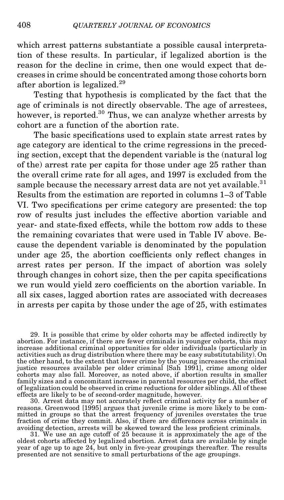which arrest patterns substantiate a possible causal interpretation of these results. In particular, if legalized abortion is the reason for the decline in crime, then one would expect that decreases in crime should be concentrated among those cohorts born after abortion is legalized.<sup>29</sup>

Testing that hypothesis is complicated by the fact that the age of criminals is not directly observable. The age of arrestees, however, is reported.<sup>30</sup> Thus, we can analyze whether arrests by cohort are a function of the abortion rate.

The basic specifications used to explain state arrest rates by age category are identical to the crime regressions in the preceding section, except that the dependent variable is the (natural log of the) arrest rate per capita for those under age 25 rather than the overall crime rate for all ages, and 1997 is excluded from the sample because the necessary arrest data are not yet available. $31$ Results from the estimation are reported in columns 1–3 of Table VI. Two specifications per crime category are presented: the top row of results just includes the effective abortion variable and year- and state-fixed effects, while the bottom row adds to these the remaining covariates that were used in Table IV above. Because the dependent variable is denominated by the population under age  $25$ , the abortion coefficients only reflect changes in arrest rates per person. If the impact of abortion was solely through changes in cohort size, then the per capita specifications we run would yield zero coefficients on the abortion variable. In all six cases, lagged abortion rates are associated with decreases in arrests per capita by those under the age of 25, with estimates

29. It is possible that crime by older cohorts may be affected indirectly by abortion. For instance, if there are fewer criminals in younger cohorts, this may increase additional criminal opportunities for older individuals (particularly in activities such as drug distribution where there may be easy substitutability). On the other hand, to the extent that lower crime by the young increases the criminal justice resources available per older criminal [Sah 1991], crime among older cohorts may also fall. Moreover, as noted above, if abortion results in smaller family sizes and a concomitant increase in parental resources per child, the effect of legalization could be observed in crime reductions for older siblings. All of these effects are likely to be of second-order magnitude, however.

30. Arrest data may not accurately reflect criminal activity for a number of reasons. Greenwood [1995] argues that juvenile crime is more likely to be committed in groups so that the arrest frequency of juveniles overstates the true mitted in groups so that the arrest frequency of juveniles overstates the true fraction of crime they commit. Also, if there are differences across criminals in avoiding detection, arrests will be skewed toward the less proficient criminals.

31. We use an age cutoff of 25 because it is approximately the age of the oldest cohorts affected by legalized abortion. Arrest data are available by single year of age up to age 24, but only in five-year groupings thereafter. The results presented are not sensitive to small perturbations of the age groupings.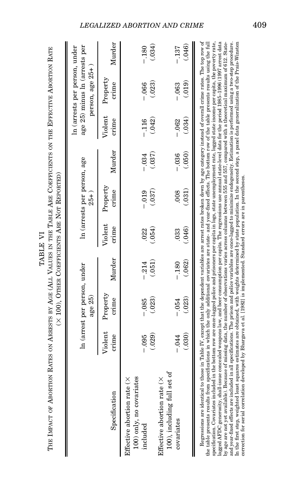| THE IMPACT OF ABORTION RATES ON ARRESTS BY AGE (ALL VALUES IN THE TABLE ARE COEFFICIENTS ON THE EFFECTIVE ABORTION RATE                                                                                                                                                                                                                                                                                                                                                                                                                                                                                                                                                                                                                                                                                                                                                                                                                                                                                                                                                                                                                                                                                                                                                                                                                                                                                                                                      |                    | (X 100), OTHER COEFFICIENTS ARE NOT REPORTED |                  | TABLE VI         |                                       |                    |                   |                                                                                    |                  |
|--------------------------------------------------------------------------------------------------------------------------------------------------------------------------------------------------------------------------------------------------------------------------------------------------------------------------------------------------------------------------------------------------------------------------------------------------------------------------------------------------------------------------------------------------------------------------------------------------------------------------------------------------------------------------------------------------------------------------------------------------------------------------------------------------------------------------------------------------------------------------------------------------------------------------------------------------------------------------------------------------------------------------------------------------------------------------------------------------------------------------------------------------------------------------------------------------------------------------------------------------------------------------------------------------------------------------------------------------------------------------------------------------------------------------------------------------------------|--------------------|----------------------------------------------|------------------|------------------|---------------------------------------|--------------------|-------------------|------------------------------------------------------------------------------------|------------------|
|                                                                                                                                                                                                                                                                                                                                                                                                                                                                                                                                                                                                                                                                                                                                                                                                                                                                                                                                                                                                                                                                                                                                                                                                                                                                                                                                                                                                                                                              |                    | In (arrest per person, under<br>age 25)      |                  |                  | In (arrests per person, age<br>$25 +$ |                    |                   | In (arrests per person, under<br>age 25) minus ln (arrests per<br>person, age 25+) |                  |
| Specification                                                                                                                                                                                                                                                                                                                                                                                                                                                                                                                                                                                                                                                                                                                                                                                                                                                                                                                                                                                                                                                                                                                                                                                                                                                                                                                                                                                                                                                | Violent<br>crime   | Property<br>crime                            | $_{\rm Murder}$  | Violent<br>crime | Property<br>crime                     | Murder             | Violent<br>crime  | Property<br>crime                                                                  | Murder           |
| 100) only, no covariates<br>Effective abortion rate (X<br>included                                                                                                                                                                                                                                                                                                                                                                                                                                                                                                                                                                                                                                                                                                                                                                                                                                                                                                                                                                                                                                                                                                                                                                                                                                                                                                                                                                                           | (.029)<br>$-0.095$ | (.023)<br>$-0.85$                            | (.051)<br>$-214$ | (.054)<br>022    | (.037)<br>$-0.019$                    | (.037)<br>$-.034$  | (.042)<br>$-116$  | (.023)<br>$-066$                                                                   | (.034)<br>$-180$ |
| 100), including full set of<br>Effective abortion rate (X<br>covariates                                                                                                                                                                                                                                                                                                                                                                                                                                                                                                                                                                                                                                                                                                                                                                                                                                                                                                                                                                                                                                                                                                                                                                                                                                                                                                                                                                                      | (.030)<br>$-0.44$  | (.023)<br>$-0.54$                            | (.062)<br>$-180$ | (.046)<br>.033   | (.031)<br>.008                        | (.050)<br>$-0.036$ | (.034)<br>$-.062$ | (.019)<br>$-.063$                                                                  | (.046)<br>$-137$ |
| Regressions are identical to those in Table IV, except that the dependent variables are arrest rates broken down by age category instead of overall crime rates. The top row of<br>lagged AFDC generosity, shall-issue concealed weapons law, and beer consumption per capita. The regressions use annual state-level data for the period 1985–1996 (1997 arrest data<br>the table presents results from specifications in which the only additional ovvariates are state- and year-fixed effects. The bottom row of the table presents results using the full<br>by age are not yet available). Because of missing data, the number of observations varies across columns between 555 and 557, compared with a theoretical maximum of 612. State-<br>specification. Covariates included in the bottom row are once-lagged police and prisoners per capita in logs, state unemployment rate, logged state income per capita, the poverty rate,<br>and year-fixed effects are included in all specifications. The prison and police variables are once-lagged to minimize endogeneity. Estimation is performed using a two-step procedure.<br>In the first step, weighted least squares estimates are obtained, with weights determined by state population. In the second step, a panel data generalization of the Prais-Winsten<br>correction for serial correlation developed by Bhargava et al. [1982] is implemented. Standard errors are in parentheses |                    |                                              |                  |                  |                                       |                    |                   |                                                                                    |                  |

*LEGALIZED ABORTION AND CRIME* 409

correction for serial correlation developed by Bhargava et al. [1982] is implemented. Standard errors are in parentheses.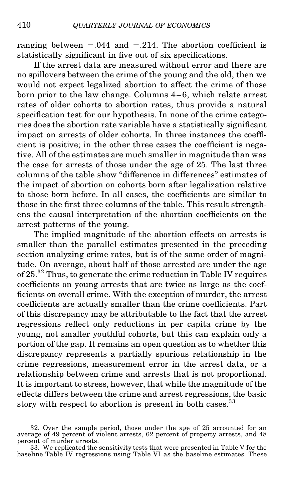ranging between  $-.044$  and  $-.214$ . The abortion coefficient is statistically significant in five out of six specifications.

If the arrest data are measured without error and there are no spillovers between the crime of the young and the old, then we would not expect legalized abortion to affect the crime of those born prior to the law change. Columns 4–6, which relate arrest rates of older cohorts to abortion rates, thus provide a natural specification test for our hypothesis. In none of the crime categories does the abortion rate variable have a statistically signicant impact on arrests of older cohorts. In three instances the coefficient is positive; in the other three cases the coefficient is negative. All of the estimates are much smaller in magnitude than was the case for arrests of those under the age of 25. The last three columns of the table show "difference in differences" estimates of the impact of abortion on cohorts born after legalization relative to those born before. In all cases, the coefficients are similar to those in the first three columns of the table. This result strengthens the causal interpretation of the abortion coefficients on the arrest patterns of the young.

The implied magnitude of the abortion effects on arrests is smaller than the parallel estimates presented in the preceding section analyzing crime rates, but is of the same order of magnitude. On average, about half of those arrested are under the age of 25.<sup>32</sup> Thus, to generate the crime reduction in Table IV requires coefficients on young arrests that are twice as large as the coefficients on overall crime. With the exception of murder, the arrest coefficients are actually smaller than the crime coefficients. Part of this discrepancy may be attributable to the fact that the arrest regressions reflect only reductions in per capita crime by the young, not smaller youthful cohorts, but this can explain only a portion of the gap. It remains an open question as to whether this discrepancy represents a partially spurious relationship in the crime regressions, measurement error in the arrest data, or a relationship between crime and arrests that is not proportional. It is important to stress, however, that while the magnitude of the effects differs between the crime and arrest regressions, the basic story with respect to abortion is present in both cases.<sup>33</sup>

<sup>32.</sup> Over the sample period, those under the age of 25 accounted for an average of 49 percent of violent arrests, 62 percent of property arrests, and 48 percent of murder arrests.

<sup>33.</sup> We replicated the sensitivity tests that were presented in Table V for the baseline Table IV regressions using Table VI as the baseline estimates. These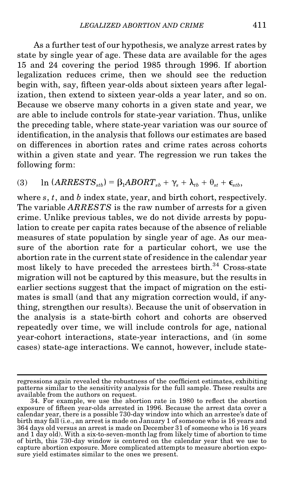As a further test of our hypothesis, we analyze arrest rates by state by single year of age. These data are available for the ages 15 and 24 covering the period 1985 through 1996. If abortion legalization reduces crime, then we should see the reduction begin with, say, fifteen year-olds about sixteen years after legalization, then extend to sixteen year-olds a year later, and so on. Because we observe many cohorts in a given state and year, we are able to include controls for state-year variation. Thus, unlike the preceding table, where state-year variation was our source of identification, in the analysis that follows our estimates are based on differences in abortion rates and crime rates across cohorts within a given state and year. The regression we run takes the following form:

$$
(3) \qquad \ln (ARRESTS_{stb}) = \beta_1 ABORT_{sb} + \gamma_s + \lambda_{tb} + \theta_{st} + \epsilon_{stb},
$$

where *s*, *t*, and *b* index state, year, and birth cohort, respectively. The variable *ARRESTS* is the raw number of arrests for a given crime. Unlike previous tables, we do not divide arrests by population to create per capita rates because of the absence of reliable measures of state population by single year of age. As our measure of the abortion rate for a particular cohort, we use the abortion rate in the current state of residence in the calendar year most likely to have preceded the arrestees birth. $34$  Cross-state migration will not be captured by this measure, but the results in earlier sections suggest that the impact of migration on the estimates is small (and that any migration correction would, if anything, strengthen our results). Because the unit of observation in the analysis is a state-birth cohort and cohorts are observed repeatedly over time, we will include controls for age, national year-cohort interactions, state-year interactions, and (in some cases) state-age interactions. We cannot, however, include state-

regressions again revealed the robustness of the coefficient estimates, exhibiting patterns similar to the sensitivity analysis for the full sample. These results are available from the authors on request.

<sup>34.</sup> For example, we use the abortion rate in 1980 to reflect the abortion exposure of fifteen year-olds arrested in 1996. Because the arrest data cover a<br>calendar year, there is a possible 730-day window into which an arrestee's date of birth may fall (i.e., an arrest is made on January 1 of someone who is 16 years and 364 days old versus an arrest is made on December 31 of someone who is 16 years and 1 day old). With a six-to-seven-month lag from likely time of abortion to time of birth, this 730-day window is centered on the calendar year that we use to capture abortion exposure. More complicated attempts to measure abortion expo- sure yield estimates similar to the ones we present.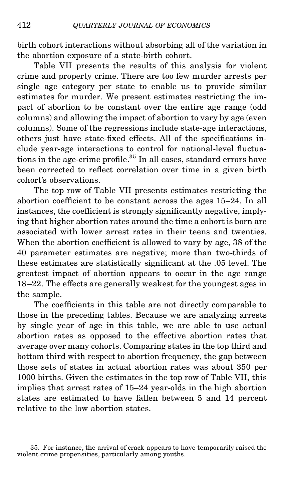birth cohort interactions without absorbing all of the variation in the abortion exposure of a state-birth cohort.

Table VII presents the results of this analysis for violent crime and property crime. There are too few murder arrests per single age category per state to enable us to provide similar estimates for murder. We present estimates restricting the impact of abortion to be constant over the entire age range (odd columns) and allowing the impact of abortion to vary by age (even columns). Some of the regressions include state-age interactions, others just have state-fixed effects. All of the specifications include year-age interactions to control for national-level fluctuations in the age-crime profile.<sup>35</sup> In all cases, standard errors have been corrected to reflect correlation over time in a given birth cohort's observations.

The top row of Table VII presents estimates restricting the abortion coefficient to be constant across the ages  $15-24$ . In all instances, the coefficient is strongly significantly negative, implying that higher abortion rates around the time a cohort is born are associated with lower arrest rates in their teens and twenties. When the abortion coefficient is allowed to vary by age, 38 of the 40 parameter estimates are negative; more than two-thirds of these estimates are statistically signicant at the .05 level. The greatest impact of abortion appears to occur in the age range 18–22. The effects are generally weakest for the youngest ages in the sample.

The coefficients in this table are not directly comparable to those in the preceding tables. Because we are analyzing arrests by single year of age in this table, we are able to use actual abortion rates as opposed to the effective abortion rates that average over many cohorts. Comparing states in the top third and bottom third with respect to abortion frequency, the gap between those sets of states in actual abortion rates was about 350 per 1000 births. Given the estimates in the top row of Table VII, this implies that arrest rates of 15–24 year-olds in the high abortion states are estimated to have fallen between 5 and 14 percent relative to the low abortion states.

<sup>35.</sup> For instance, the arrival of crack appears to have temporarily raised the violent crime propensities, particularly among youths.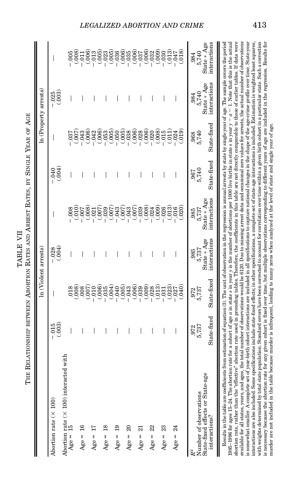|           |                                                                                 | $\ln$ (Become centry    |
|-----------|---------------------------------------------------------------------------------|-------------------------|
| TABLE VII | THE RELATIONSHIP BETWEEN ABORTION RATES AND ARREST RATES, BY SINGLE YEAR OF AGE | $\ln$ (Unclose compate) |

|                                                                                                                                                                                                 |                          |                                                                                                                                                                                                                                                                                                                                                 | In (Violent arrests)        |                                  |                          |                                                                          | In (Property arrests)       |                                                                                                                                                                                                                                                                                                                                                                                                                                  |
|-------------------------------------------------------------------------------------------------------------------------------------------------------------------------------------------------|--------------------------|-------------------------------------------------------------------------------------------------------------------------------------------------------------------------------------------------------------------------------------------------------------------------------------------------------------------------------------------------|-----------------------------|----------------------------------|--------------------------|--------------------------------------------------------------------------|-----------------------------|----------------------------------------------------------------------------------------------------------------------------------------------------------------------------------------------------------------------------------------------------------------------------------------------------------------------------------------------------------------------------------------------------------------------------------|
| Abortion rate $(X 100)$ interacted with<br>Abortion rate $(X100)$                                                                                                                               | $\frac{15}{003}$         |                                                                                                                                                                                                                                                                                                                                                 | $-0.028$<br>$(.004)$        |                                  | (.004)<br>$-0.040$       |                                                                          | $-025$<br>(.003)            |                                                                                                                                                                                                                                                                                                                                                                                                                                  |
| $Age = 15$                                                                                                                                                                                      |                          | $\frac{8}{600}$                                                                                                                                                                                                                                                                                                                                 |                             | (.010)<br>$000 -$                | I                        | $-0.037$<br>(.007)                                                       | I                           | $000$ .                                                                                                                                                                                                                                                                                                                                                                                                                          |
| $\frac{6}{1}$<br>Age $=$                                                                                                                                                                        |                          | $\frac{1}{600}$                                                                                                                                                                                                                                                                                                                                 |                             | (.008)<br>$-0.007$               | I                        | (.006)<br>$-.043$                                                        |                             | $\begin{array}{c} (0.006) \\ -0.11 \\ (0.06) \end{array}$                                                                                                                                                                                                                                                                                                                                                                        |
| 17<br>$\parallel$<br>Age                                                                                                                                                                        | $\overline{\phantom{a}}$ | $-.010$                                                                                                                                                                                                                                                                                                                                         | $\overline{\phantom{a}}$    | $-.021$                          | $\overline{\phantom{a}}$ |                                                                          | $\overline{\phantom{a}}$    |                                                                                                                                                                                                                                                                                                                                                                                                                                  |
| $\frac{8}{2}$<br>$Age =$                                                                                                                                                                        | I                        |                                                                                                                                                                                                                                                                                                                                                 | I                           | $(-007)$<br>(.007)               | I                        | $\begin{array}{c} 29.600 \\ 39.600 \\ -1.0000 \\ -1.0000 \\ \end{array}$ | I                           |                                                                                                                                                                                                                                                                                                                                                                                                                                  |
| $\overline{19}$<br>$Age =$                                                                                                                                                                      | I                        |                                                                                                                                                                                                                                                                                                                                                 | $\overline{\phantom{a}}$    | (.007)<br>$-.043$                | $\overline{\phantom{a}}$ |                                                                          | I                           |                                                                                                                                                                                                                                                                                                                                                                                                                                  |
| ສ<br>$Age =$                                                                                                                                                                                    | $\overline{\phantom{a}}$ |                                                                                                                                                                                                                                                                                                                                                 | $\overline{\phantom{a}}$    | $-.043$                          | $\overline{\phantom{a}}$ |                                                                          | $\bigg $                    |                                                                                                                                                                                                                                                                                                                                                                                                                                  |
| ಷ<br>$Age =$                                                                                                                                                                                    | $\overline{\phantom{a}}$ | $\begin{array}{l} 69.97 \\ 69.97 \\ -1.71 \\ -1.71 \\ -1.71 \\ -1.71 \\ -1.71 \\ -1.71 \\ -1.71 \\ -1.71 \\ -1.71 \\ -1.71 \\ -1.71 \\ -1.71 \\ -1.71 \\ -1.71 \\ -1.71 \\ -1.71 \\ -1.71 \\ -1.71 \\ -1.71 \\ -1.71 \\ -1.71 \\ -1.71 \\ -1.71 \\ -1.71 \\ -1.71 \\ -1.71 \\ -1.71 \\ -1.71 \\ -1.71 \\ -1.71 \\ -1.71 \\ -1.71 \\ -1.71 \\ -$ | $\bigg $                    |                                  | $\bigg $                 |                                                                          | $\overline{\phantom{a}}$    | $\begin{array}{l} \mathbf{a} \ \mathbf{a} \ \mathbf{b} \ \mathbf{a} \ \mathbf{b} \ \mathbf{c} \ \mathbf{c} \ \mathbf{d} \ \mathbf{c} \ \mathbf{c} \ \mathbf{c} \ \mathbf{c} \ \mathbf{c} \ \mathbf{c} \ \mathbf{c} \ \mathbf{c} \ \mathbf{c} \ \mathbf{c} \ \mathbf{c} \ \mathbf{c} \ \mathbf{c} \ \mathbf{c} \ \mathbf{c} \ \mathbf{c} \ \mathbf{c} \ \mathbf{c} \ \mathbf{c} \ \mathbf{c} \ \mathbf{c} \ \mathbf{c} \ \mathbf$ |
| 22<br>$Age =$                                                                                                                                                                                   | $\overline{\phantom{a}}$ |                                                                                                                                                                                                                                                                                                                                                 | $\overline{\phantom{a}}$    | (000)                            | $\overline{\phantom{a}}$ |                                                                          | $\overline{\phantom{a}}$    |                                                                                                                                                                                                                                                                                                                                                                                                                                  |
| 23<br>$Age =$                                                                                                                                                                                   | I                        | (.013)<br>$-0.031$                                                                                                                                                                                                                                                                                                                              | I                           | $-.026$                          | I                        | $-0.015$                                                                 | I                           |                                                                                                                                                                                                                                                                                                                                                                                                                                  |
| $\overline{24}$<br>$Age =$                                                                                                                                                                      | $\overline{\phantom{a}}$ | $(023)$<br>$(040)$                                                                                                                                                                                                                                                                                                                              | $\overline{\phantom{a}}$    | $(013) - 016$<br>(.020)          | I                        | (.019)<br>$(-011)$                                                       | $\overline{\phantom{a}}$    | (0.013)<br>(.018)                                                                                                                                                                                                                                                                                                                                                                                                                |
| Number of observations<br>State-fixed effects or State-age<br>$R^2$                                                                                                                             | .972<br>5,737            | 5,737<br>972                                                                                                                                                                                                                                                                                                                                    | 5,737                       | State * Age<br>$.985$<br>$5,737$ | 5,740<br>.967            | 5,740<br>968                                                             | 5,740<br>.984               | 5,740<br>.984                                                                                                                                                                                                                                                                                                                                                                                                                    |
| interactions?                                                                                                                                                                                   | State-fixed              | State-fixed                                                                                                                                                                                                                                                                                                                                     | State * Age<br>interactions | interactions                     | State-fixed              | State-fixed                                                              | interactions<br>State * Age | State * Age<br>interactions                                                                                                                                                                                                                                                                                                                                                                                                      |
| Results in the table are coefficients from estimation of equation (3). The unit of observation in the regression is annual arrests by state by single year of age. The sample covers the period |                          |                                                                                                                                                                                                                                                                                                                                                 |                             |                                  |                          |                                                                          |                             |                                                                                                                                                                                                                                                                                                                                                                                                                                  |

abortion rate, rather than the "effective" abortion rate used in preceding tables. Therefore, the coefficients in this table are not directly comparable to those of earlier tables. If data were Results in the table are coefficients from estimation of equation (3). The unit of observation in the regression is annual arrests by state by single year of age. The sample overs the period ——1996 for ages 15–24. The abor 1985–1996 for ages 15–24. The abortion rate for a cohort of age  $a$  in state s in year y is the number of abortions per 1000 live births in state s in year y –  $a$  – 1. Note that this is the actual 1985–1996 for ages 15–24. The abortion rate for a cohort of age  $a$  in states in year y is the number of abortions per 1000 live births in states in year y –  $a$  – 1. Note that this is the advalable for all states, years, available for all states, years, and ages, the total number of observations would be 6120. Due to missing arrest data and occasional zero values for arrests, the actual number of observations is somewhat smaller. A complete set of year-birth cohort interactions are included in all specifications to capture national changes in the shape of the age-crime profile over time. State-year is somewhat smaller. A complete set of year-birth cohort interactions are included in all specifications to capture national changes in the shape of the age-crime profile over time. State-year<br>interactions are also include interactions are also included. Some specifications include state-fixed effects; in other specifications, a complete set of state-age interactions is included. Estimation is weighted least squares, interactions are also included. Some specifications include state-fixed effects; in other specifications, a complete set of state-age interactions is included. Bstimation is weighted least squares,<br>with weights determined with weights determined by total state population. Standard errors have been corrected to account for correlation over time within a given birth cohort in a particular state. Such a correction is necessary because the abortion rate for any given cohort is fixed over time, but multiple observations corresponding to different years of age are included in the regression. Results for is necessary because the abortion rate for any given cohort is fixed over time, but multiple observations corresponding to different years of age are included in the regression. Results for<br>murder are not included in the t murder are not included in the table because murder is infrequent, leading to many zeros when analyzed at the level of state and single year of age.

## *LEGALIZED ABORTION AND CRIME* 413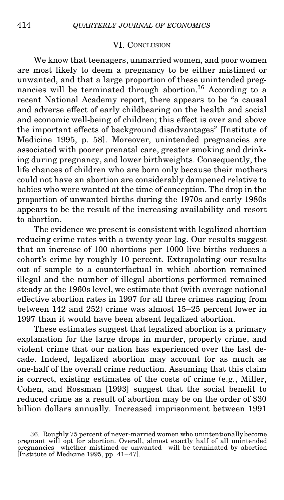### VI. CONCLUSION

We know that teenagers, unmarried women, and poor women are most likely to deem apregnancy to be either mistimed or unwanted, and that a large proportion of these unintended pregnancies will be terminated through abortion.<sup>36</sup> According to a recent National Academy report, there appears to be "a causal and adverse effect of early childbearing on the health and social and economic well-being of children; this effect is over and above the important effects of background disadvantages" [Institute of Medicine 1995, p. 58]. Moreover, unintended pregnancies are associated with poorer prenatal care, greater smoking and drinking during pregnancy, and lower birthweights. Consequently, the life chances of children who are born only because their mothers could not have an abortion are considerably dampened relative to babies who were wanted at the time of conception. The drop in the proportion of unwanted births during the 1970s and early 1980s appears to be the result of the increasing availability and resort to abortion.

The evidence we present is consistent with legalized abortion reducing crime rates with a twenty-year lag. Our results suggest that an increase of 100 abortions per 1000 live births reduces a cohort's crime by roughly 10 percent. Extrapolating our results out of sample to a counterfactual in which abortion remained illegal and the number of illegal abortions performed remained steady at the 1960s level, we estimate that (with average national effective abortion rates in 1997 for all three crimes ranging from between 142 and 252) crime was almost 15–25 percent lower in 1997 than it would have been absent legalized abortion.

These estimates suggest that legalized abortion is a primary explanation for the large drops in murder, property crime, and violent crime that our nation has experienced over the last decade. Indeed, legalized abortion may account for as much as one-half of the overall crime reduction. Assuming that this claim is correct, existing estimates of the costs of crime (e.g., Miller, Cohen, and Rossman [1993] suggest that the social benefit to reduced crime as a result of abortion may be on the order of \$30 billion dollars annually. Increased imprisonment between 1991

<sup>36.</sup> Roughly 75 percent of never-married women who unintentionally become pregnant will opt for abortion. Overall, almost exactly half of all unintended pregnancies—whether mistimed or unwanted—will be terminated by abortion [Institute of Medicine 1995, pp. 41–47].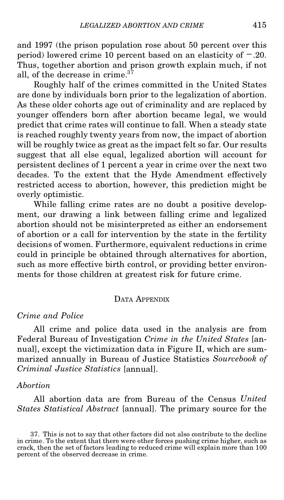and 1997 (the prison population rose about 50 percent over this period) lowered crime 10 percent based on an elasticity of  $-.20$ . Thus, together abortion and prison growth explain much, if not all, of the decrease in crime.<sup>37</sup>

Roughly half of the crimes committed in the United States are done by individuals born prior to the legalization of abortion. As these older cohorts age out of criminality and are replaced by younger offenders born after abortion became legal, we would predict that crime rates will continue to fall. When a steady state is reached roughly twenty years from now, the impact of abortion will be roughly twice as great as the impact felt so far. Our results suggest that all else equal, legalized abortion will account for persistent declines of 1 percent a year in crime over the next two decades. To the extent that the Hyde Amendment effectively restricted access to abortion, however, this prediction might be overly optimistic.

While falling crime rates are no doubt a positive development, our drawing a link between falling crime and legalized abortion should not be misinterpreted as either an endorsement of abortion or a call for intervention by the state in the fertility decisions of women. Furthermore, equivalent reductions in crime could in principle be obtained through alternatives for abortion, such as more effective birth control, or providing better environments for those children at greatest risk for future crime.

#### DATA APPENDIX

#### *Crime and Police*

All crime and police data used in the analysis are from Federal Bureau of Investigation *Crime in the United States* [annual], except the victimization data in Figure II, which are summarized annually in Bureau of Justice Statistics *Sourcebook of Criminal Justice Statistics* [annual].

## *Abortion*

All abortion data are from Bureau of the Census *United States Statistical Abstract* [annual]. The primary source for the

<sup>37.</sup> This is not to say that other factors did not also contribute to the decline in crime. To the extent that there were other forces pushing crime higher, such as crack, then the set of factors leading to reduced crime will explain more than 100 percent of the observed decrease in crime.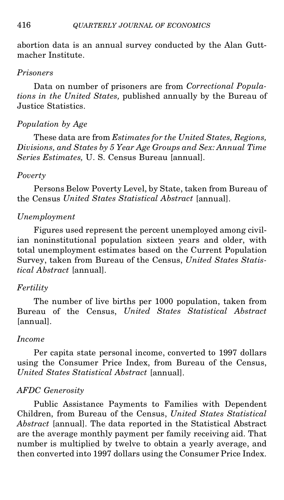abortion data is an annual survey conducted by the Alan Guttmacher Institute.

## *Prisoners*

Data on number of prisoners are from *Correctional Populations in the United States,* published annually by the Bureau of Justice Statistics.

# *Population by Age*

These data are from *Estimates for the United States, Regions, Divisions, and States by 5 Year Age Groups and Sex: Annual Time Series Estimates,* U. S. Census Bureau [annual].

# *Poverty*

Persons Below Poverty Level, by State, taken from Bureau of the Census *United States Statistical Abstract* [annual].

# *Unemployment*

Figures used represent the percent unemployed among civilian noninstitutional population sixteen years and older, with total unemployment estimates based on the Current Population Survey, taken from Bureau of the Census, *United States Statistical Abstract* [annual].

# *Fertility*

The number of live births per 1000 population, taken from Bureau of the Census, *United States Statistical Abstract* [annual].

# *Income*

Per capita state personal income, converted to 1997 dollars using the Consumer Price Index, from Bureau of the Census, *United States Statistical Abstract* [annual].

# *AFDC Generosity*

Public Assistance Payments to Families with Dependent Children, from Bureau of the Census, *United States Statistical Abstract* [annual]. The data reported in the Statistical Abstract are the average monthly payment per family receiving aid. That number is multiplied by twelve to obtain a yearly average, and then converted into 1997 dollars using the Consumer Price Index.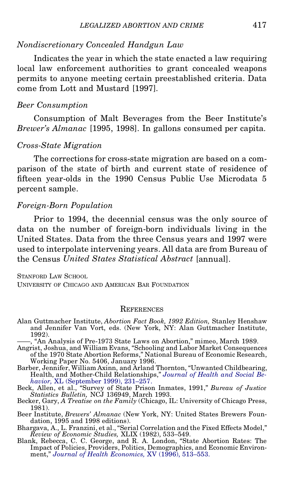### *Nondiscretionary Concealed Handgun Law*

Indicates the year in which the state enacted a law requiring local law enforcement authorities to grant concealed weapons permits to anyone meeting certain preestablished criteria. Data come from Lott and Mustard [1997].

#### *Beer Consumption*

Consumption of Malt Beverages from the Beer Institute's *Brewer's Almanac* [1995, 1998]. In gallons consumed per capita.

#### *Cross-State Migration*

The corrections for cross-state migration are based on a comparison of the state of birth and current state of residence of fifteen year-olds in the 1990 Census Public Use Microdata 5 percent sample.

#### *Foreign-Born Population*

Prior to 1994, the decennial census was the only source of data on the number of foreign-born individuals living in the United States. Data from the three Census years and 1997 were used to interpolate intervening years. All data are from Bureau of the Census *United States Statistical Abstract* [annual].

STANFORD LAW SCHOOL UNIVERSITY OF CHICAGO AND AMERICAN BAR FOUNDATION

#### **REFERENCES**

- Alan Guttmacher Institute, *Abortion Fact Book, 1992 Edition,* Stanley Henshaw and Jennifer Van Vort, eds. (New York, NY: Alan Guttmacher Institute, 1992).<br>-, "An Analysis of Pre-1973 State Laws on Abortion," mimeo, March 1989.
- 
- Angrist, Joshua, and William Evans, "Schooling and Labor Market Consequences of the 1970 State Abortion Reforms," National Bureau of Economic Research, Working Paper No. 5406, January 1996.
- Barber, Jennifer, William Axinn, and Arland Thornton, "Unwanted Childbearing, Health, and Mother-Child Relationships," *[Journal](http://www.ingentaconnect.com/content/external-references?article=/0022-1465^28199909^2940L.231[aid=1187157]) of Health and Social Behavior,* XL [\(September](http://www.ingentaconnect.com/content/external-references?article=/0022-1465^28199909^2940L.231[aid=1187157]) 1999), 231–257.
- Beck, Allen, et al., "Survey of State Prison Inmates, 1991," *Bureau of Justice Statistics Bulletin,* NCJ 136949, March 1993.
- Becker, Gary, *A Treatise on the Family* (Chicago, IL: University of Chicago Press, 1981).
- Beer Institute, *Brewers' Almanac* (New York, NY: United States Brewers Foundation, 1995 and 1998 editions).
- Bhargava, A., L. Franzini, et al., "Serial Correlation and the Fixed Effects Model," *Review of Economic Studies,* XLIX (1982), 533–549.
- Blank, Rebecca, C. C. George, and R. A. London, "State Abortion Rates: The Impact of Policies, Providers, Politics, Demographics, and Economic Environ-ment," *Journal of Health [Economics,](http://www.ingentaconnect.com/content/external-references?article=/0167-6296^281996^2915L.513[aid=1187159])* XV (1996), 513–553.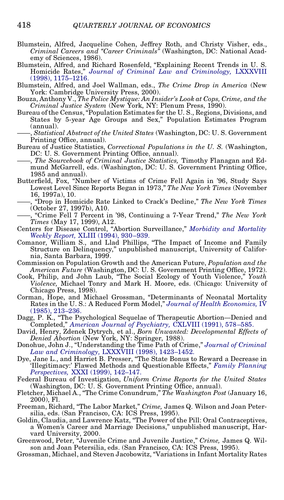- Blumstein, Alfred, Jacqueline Cohen, Jeffrey Roth, and Christy Visher, eds., *Criminal Careers and "Career Criminals"* (Washington, DC: National Academy of Sciences, 1986).
- Blumstein, Alfred, and Richard Rosenfeld, "Explaining Recent Trends in U. S. Homicide Rates," *Journal of Criminal Law and [Criminology,](http://www.ingentaconnect.com/content/external-references?article=/0091-4169^281998^2988L.1175[aid=1187160])* LXXXVIII (1998), [1175–1216.](http://www.ingentaconnect.com/content/external-references?article=/0091-4169^281998^2988L.1175[aid=1187160])
- Blumstein, Alfred, and Joel Wallman, eds., *The Crime Drop in America* (New York: Cambridge University Press, 2000).
- Bouza, Anthony V., *The Police Mystique: An Insider's Look at Cops, Crime, and the Criminal Justice System* (New York, NY: Plenum Press, 1990).
- Bureau of the Census, "Population Estimates for the U. S., Regions, Divisions, and States by 5-year Age Groups and Sex," Population Estimates Program (annual).
	- ——, *Statistical Abstract of the United States* (Washington, DC: U. S. Government Printing Office, annual).
- Bureau of Justice Statistics, *Correctional Populations in the U. S.* (Washington, DC: U.S. Government Printing Office, annual).
- ——, *The Sourcebook of Criminal Justice Statistics,* Timothy Flanagan and Edmund McGarrell, eds. (Washington, DC: U. S. Government Printing Office, 1985 and annual).
- Butterfield, Fox, "Number of Victims of Crime Fell Again in '96, Study Says Lowest Level Since Reports Began in 1973," *The New York Times* (November 16, 1997a), 10.
- ——, "Drop in Homicide Rate Linked to Crack's Decline," *The New York Times* (October 27, 1997b), A10.
- ——, "Crime Fell 7 Percent in '98, Continuing a 7-Year Trend," *The New York Times* (May 17, 1999), A12.
- Centers for Disease Control, "Abortion Surveillance," *[Morbidity](http://www.ingentaconnect.com/content/external-references?article=/0091-0031^281994^2943L.930[aid=1187161]) and Mortality Weekly Report,* XLIII (1994), [930–939.](http://www.ingentaconnect.com/content/external-references?article=/0091-0031^281994^2943L.930[aid=1187161])
- Comanor, William S., and Llad Phillips, "The Impact of Income and Family Structure on Delinquency," unpublished manuscript, University of California, Santa Barbara, 1999.
- Commission on Population Growth and the American Future, *Population and the American Future* (Washington, DC: U. S. Government Printing Office, 1972).
- Cook, Philip, and John Laub, "The Social Ecology of Youth Violence," *Youth Violence,* Michael Tonry and Mark H. Moore, eds. (Chicago: University of Chicago Press, 1998).
- Corman, Hope, and Michael Grossman, "Determinants of Neonatal Mortality Rates in the U. S.: A Reduced Form Model," *Journal of Health [Economics,](http://www.ingentaconnect.com/content/external-references?article=/0167-6296^281985^294L.213[aid=1187162])* IV (1985), [213–236.](http://www.ingentaconnect.com/content/external-references?article=/0167-6296^281985^294L.213[aid=1187162])
- Dagg, P. K., "The Psychological Sequelae of Therapeutic Abortion—Denied and Completed," *American Journal of [Psychiatry,](http://www.ingentaconnect.com/content/external-references?article=/0002-953X^281991^29148L.578[aid=1187163])* CXLVIII (1991), 578–585.
- David, Henry, Zdenek Dytrych, et al., *Born Unwanted: Developmental Effects of Denied Abortion* (New York, NY: Springer, 1988).
- Donohue, John J., "Understanding the Time Path of Crime," *Journal of [Criminal](http://www.ingentaconnect.com/content/external-references?article=/0091-4169^281998^2988L.1423[aid=1187164]) Law and [Criminology,](http://www.ingentaconnect.com/content/external-references?article=/0091-4169^281998^2988L.1423[aid=1187164])* LXXXVIII (1998), 1423–1452.
- Dye, Jane L., and Harriet B. Presser, "The State Bonus to Reward a Decrease in 'Illegitimacy:' Flawed Methods and Questionable Effects," *Family [Planning](http://www.ingentaconnect.com/content/external-references?article=/0014-7354^281999^2931L.142[aid=1187165]) [Perspectives,](http://www.ingentaconnect.com/content/external-references?article=/0014-7354^281999^2931L.142[aid=1187165])* XXXI (1999), 142–147.
- Federal Bureau of Investigation, *Uniform Crime Reports for the United States* (Washington, DC: U. S. Government Printing Office, annual).
- Fletcher, Michael A., "The Crime Conundrum," *The Washington Post* (January 16, 2000), Fl.
- Freeman, Richard, "The Labor Market," *Crime,* James Q. Wilson and Joan Petersilia, eds. (San Francisco, CA: ICS Press, 1995).
- Goldin, Claudia, and Lawrence Katz, "The Power of the Pill: Oral Contraceptives, a Women's Career and Marriage Decisions," unpublished manuscript, Harvard University, 2000.
- Greenwood, Peter, "Juvenile Crime and Juvenile Justice," *Crime,* James Q. Wil son and Joan Petersilia, eds. (San Francisco, CA: ICS Press, 1995).
- Grossman, Michael, and Steven Jacobowitz, "Variations in Infant Mortality Rates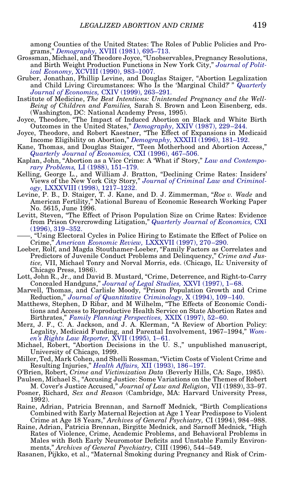among Counties of the United States: The Roles of Public Policies and Programs," *[Demography,](http://www.ingentaconnect.com/content/external-references?article=/0070-3370^281981^2918L.695[aid=1187166])* XVIII (1981), 695–713.

- Grossman, Michael, and Theodore Joyce, "Unobservables,Pregnancy Resolutions, and Birth Weight Production Functions in New York City," *[Journal](http://www.ingentaconnect.com/content/external-references?article=/0022-3808^281990^2998L.983[aid=1187167]) of Political Economy,* XCVIII (1990), [983–1007.](http://www.ingentaconnect.com/content/external-references?article=/0022-3808^281990^2998L.983[aid=1187167])
- Gruber, Jonathan, Phillip Levine, and Douglas Staiger, "Abortion Legalization and Child Living Circumstances: Who Is the 'Marginal Child?' " *[Quarterly](http://www.ingentaconnect.com/content/external-references?article=/0033-5533^281999^29114L.263[aid=1187168]) Journal of [Economics,](http://www.ingentaconnect.com/content/external-references?article=/0033-5533^281999^29114L.263[aid=1187168])* CXIV (1999), 263–291.
- Institute of Medicine, *The Best Intentions: Unintended Pregnancy and the Well-Being of Children and Families,* Sarah S. Brown and Leon Eisenberg, eds. (Washington, DC: National Academy Press, 1995).
- Joyce, Theodore, "The Impact of Induced Abortion on Black and White Birth Outcomes in the United States," *[Demography,](http://www.ingentaconnect.com/content/external-references?article=/0070-3370^281987^2924L.229[aid=1187169])* XXIV (1987), 229–244.
- Joyce, Theodore, and Robert Kaestner, "The Effect of Expansions in Medicaid Income Eligibility on Abortion," *[Demography,](http://www.ingentaconnect.com/content/external-references?article=/0070-3370^281996^2933L.181[aid=1187170])* XXXIII (1996), 181–192.
- Kane, Thomas, and Douglas Staiger, "Teen Motherhood and Abortion Access," *Quarterly Journal of [Economics,](http://www.ingentaconnect.com/content/external-references?article=/0033-5533^281996^29111L.467[aid=1187171])* CXI (1996), 467–506.
- Kaplan, John, "Abortion as a Vice Crime: A 'What if' Story," *Law and [Contempo](http://www.ingentaconnect.com/content/external-references?article=/0023-9186^281988^2951L.151[aid=1187172])rary [Problems,](http://www.ingentaconnect.com/content/external-references?article=/0023-9186^281988^2951L.151[aid=1187172])* LI (1988), 151–179.
- Kelling, George L., and William J. Bratton, "Declining Crime Rates: Insiders' Views of the New York City Story," *Journal of Criminal Law and [Criminol](http://www.ingentaconnect.com/content/external-references?article=/0091-4169^281998^2988L.1217[aid=1187173])ogy,* LXXXVIII (1998), [1217–1232.](http://www.ingentaconnect.com/content/external-references?article=/0091-4169^281998^2988L.1217[aid=1187173])
- Levine, P. B., D. Staiger, T. J. Kane, and D. J. Zimmerman, "*Roe v. Wade* and American Fertility," National Bureau of Economic Research Working Paper No. 5615, June 1996.
- Levitt, Steven, "The Effect of Prison Population Size on Crime Rates: Evidence from Prison Overcrowding Litigation," *Quarterly Journal of [Economics,](http://www.ingentaconnect.com/content/external-references?article=/0033-5533^281996^29111L.319[aid=226335])* CXI (1996), [319–352.](http://www.ingentaconnect.com/content/external-references?article=/0033-5533^281996^29111L.319[aid=226335])
- , "Using Electoral Cycles in Police Hiring to Estimate the Effect of Police on Crime." American Economic Review, LXXXVII (1997), 270-290. Crime," *American [Economic](http://www.ingentaconnect.com/content/external-references?article=/0002-8282^281997^2987L.270[aid=226336]) Review,* LXXXVII (1997), 270–290.
- Loeber, Rolf, and Magda Stouthamer-Loeber, "Family Factors as Correlates and Predictors of Juvenile Conduct Problems and Delinquency," *Crime and Justice,* VII, Michael Tonry and Norval Morris, eds. (Chicago, IL: University of Chicago Press, 1986).
- Lott, John R., Jr., and David B. Mustard, "Crime, Deterrence, and Right-to-Carry Concealed Handguns," *Journal of Legal [Studies,](http://www.ingentaconnect.com/content/external-references?article=/0047-2530^281997^2926L.1[aid=1187174])* XXVI (1997), 1–68.
- Marvell, Thomas, and Carlisle Moody, "Prison Population Growth and Crime Reduction," *Journal of Quantitative [Criminology,](http://www.ingentaconnect.com/content/external-references?article=/0748-4518^281994^2910L.109[aid=1187175])* X (1994), 109–140.
- Matthews, Stephen, D Ribar, and M Wilhelm, "The Effects of Economic Conditions and Access to Reproductive Health Service on State Abortion Rates and Birthrates," *Family Planning [Perspectives,](http://www.ingentaconnect.com/content/external-references?article=/0014-7354^281997^2929L.52[aid=1187176])* XXIX (1997), 52–60.
- Merz, J. F., C. A. Jackson, and J. A. Klerman, "A Review of Abortion Policy: Legality, Medicaid Funding, and Parental Involvement, 1967–1994," *[Wom](http://www.ingentaconnect.com/content/external-references?article=/0085-8269^281995^2917L.1[aid=1187177])en's Rights Law [Reporter,](http://www.ingentaconnect.com/content/external-references?article=/0085-8269^281995^2917L.1[aid=1187177])* XVII (1995), 1–61.
- Michael, Robert, "Abortion Decisions in the U. S.," unpublished manuscript, University of Chicago, 1999.
- Miller, Ted, Mark Cohen, and Shelli Rossman,"Victim Costs of Violent Crime and Resulting Injuries," *Health Affairs,* XII (1993), [186–197.](http://www.ingentaconnect.com/content/external-references?article=/0278-2715^281993^2912L.186[aid=228180])
- O'Brien, Robert, *Crime and Victimization Data* (Beverly Hills, CA: Sage, 1985).

Paulsen, Michael S., "Accusing Justice: Some Variations on the Themes of Robert

- M. Cover's Justice Accused," *Journal of Law and Religion,* VII (1989), 33–97. Posner, Richard, *Sex and Reason* (Cambridge, MA: Harvard University Press, 1992).
- Raine, Adrian, Patricia Brennan, and Sarnoff Mednick, "Birth Complications Combined with Early Maternal Rejection at Age 1 Year Predispose to Violent Crime at Age 18 Years," *Archives of General Psychiatry,* CI (1994), 984–988.
- Raine, Adrian, Patricia Brennan, Birgitte Mednick, and Sarnoff Mednick, "High Rates of Violence, Crime, Academic Problems, and Behavioral Problems in Males with Both Early Neuromotor Deficits and Unstable Family Environments," *Archives of General Psychiatry,* CIII (1996), 544–549.
- Rasanen, Pijkko, et al., "Maternal Smoking during Pregnancy and Risk of Crim-